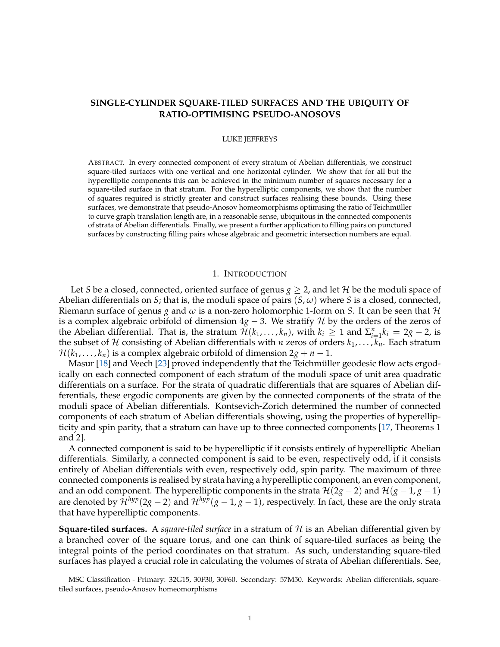# **SINGLE-CYLINDER SQUARE-TILED SURFACES AND THE UBIQUITY OF RATIO-OPTIMISING PSEUDO-ANOSOVS**

## LUKE JEFFREYS

ABSTRACT. In every connected component of every stratum of Abelian differentials, we construct square-tiled surfaces with one vertical and one horizontal cylinder. We show that for all but the hyperelliptic components this can be achieved in the minimum number of squares necessary for a square-tiled surface in that stratum. For the hyperelliptic components, we show that the number of squares required is strictly greater and construct surfaces realising these bounds. Using these surfaces, we demonstrate that pseudo-Anosov homeomorphisms optimising the ratio of Teichmüller to curve graph translation length are, in a reasonable sense, ubiquitous in the connected components of strata of Abelian differentials. Finally, we present a further application to filling pairs on punctured surfaces by constructing filling pairs whose algebraic and geometric intersection numbers are equal.

## 1. INTRODUCTION

Let *S* be a closed, connected, oriented surface of genus  $g \ge 2$ , and let *H* be the moduli space of Abelian differentials on *S*; that is, the moduli space of pairs (*S*, *ω*) where *S* is a closed, connected, Riemann surface of genus *g* and *ω* is a non-zero holomorphic 1-form on *S*. It can be seen that H is a complex algebraic orbifold of dimension  $4g - 3$ . We stratify H by the orders of the zeros of the Abelian differential. That is, the stratum  $\mathcal{H}(k_1,\ldots,k_n)$ , with  $k_i \geq 1$  and  $\Sigma_{i=1}^n k_i = 2g - 2$ , is the subset of H consisting of Abelian differentials with *n* zeros of orders  $k_1, \ldots, k_n$ . Each stratum  $\mathcal{H}(k_1,\ldots,k_n)$  is a complex algebraic orbifold of dimension  $2g + n - 1$ .

Masur [\[18\]](#page-38-0) and Veech [\[23\]](#page-38-1) proved independently that the Teichmüller geodesic flow acts ergodically on each connected component of each stratum of the moduli space of unit area quadratic differentials on a surface. For the strata of quadratic differentials that are squares of Abelian differentials, these ergodic components are given by the connected components of the strata of the moduli space of Abelian differentials. Kontsevich-Zorich determined the number of connected components of each stratum of Abelian differentials showing, using the properties of hyperellipticity and spin parity, that a stratum can have up to three connected components [\[17,](#page-38-2) Theorems 1 and 2].

A connected component is said to be hyperelliptic if it consists entirely of hyperelliptic Abelian differentials. Similarly, a connected component is said to be even, respectively odd, if it consists entirely of Abelian differentials with even, respectively odd, spin parity. The maximum of three connected components is realised by strata having a hyperelliptic component, an even component, and an odd component. The hyperelliptic components in the strata  $\mathcal{H}(2g-2)$  and  $\mathcal{H}(g-1,g-1)$ are denoted by  $\mathcal{H}^{hyp}(2g-2)$  and  $\mathcal{H}^{hyp}(g-1,g-1)$ , respectively. In fact, these are the only strata that have hyperelliptic components.

**Square-tiled surfaces.** A *square-tiled surface* in a stratum of H is an Abelian differential given by a branched cover of the square torus, and one can think of square-tiled surfaces as being the integral points of the period coordinates on that stratum. As such, understanding square-tiled surfaces has played a crucial role in calculating the volumes of strata of Abelian differentials. See,

MSC Classification - Primary: 32G15, 30F30, 30F60. Secondary: 57M50. Keywords: Abelian differentials, squaretiled surfaces, pseudo-Anosov homeomorphisms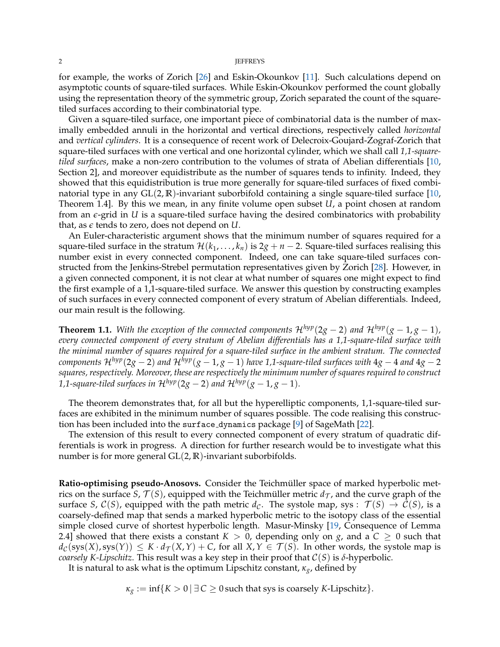#### 2 **JEFFREYS**

for example, the works of Zorich [\[26\]](#page-38-3) and Eskin-Okounkov [\[11\]](#page-37-0). Such calculations depend on asymptotic counts of square-tiled surfaces. While Eskin-Okounkov performed the count globally using the representation theory of the symmetric group, Zorich separated the count of the squaretiled surfaces according to their combinatorial type.

Given a square-tiled surface, one important piece of combinatorial data is the number of maximally embedded annuli in the horizontal and vertical directions, respectively called *horizontal* and *vertical cylinders*. It is a consequence of recent work of Delecroix-Goujard-Zograf-Zorich that square-tiled surfaces with one vertical and one horizontal cylinder, which we shall call *1,1-squaretiled surfaces*, make a non-zero contribution to the volumes of strata of Abelian differentials [\[10,](#page-37-1) Section 2], and moreover equidistribute as the number of squares tends to infinity. Indeed, they showed that this equidistribution is true more generally for square-tiled surfaces of fixed combinatorial type in any GL(2, **R**)-invariant suborbifold containing a single square-tiled surface [\[10,](#page-37-1) Theorem 1.4]. By this we mean, in any finite volume open subset *U*, a point chosen at random from an *e*-grid in *U* is a square-tiled surface having the desired combinatorics with probability that, as *e* tends to zero, does not depend on *U*.

An Euler-characteristic argument shows that the minimum number of squares required for a square-tiled surface in the stratum  $\mathcal{H}(k_1, \ldots, k_n)$  is  $2g + n - 2$ . Square-tiled surfaces realising this number exist in every connected component. Indeed, one can take square-tiled surfaces constructed from the Jenkins-Strebel permutation representatives given by Zorich [\[28\]](#page-38-4). However, in a given connected component, it is not clear at what number of squares one might expect to find the first example of a 1,1-square-tiled surface. We answer this question by constructing examples of such surfaces in every connected component of every stratum of Abelian differentials. Indeed, our main result is the following.

<span id="page-1-0"></span>**Theorem 1.1.** *With the exception of the connected components*  $\mathcal{H}^{hyp}(2g - 2)$  *and*  $\mathcal{H}^{hyp}(g - 1, g - 1)$ *, every connected component of every stratum of Abelian differentials has a 1,1-square-tiled surface with the minimal number of squares required for a square-tiled surface in the ambient stratum. The connected components*  $\mathcal{H}^{hyp}(2g-2)$  *and*  $\mathcal{H}^{hyp}(g-1,g-1)$  *have* 1,1-square-tiled surfaces with  $4g-4$  *and*  $4g-2$ *squares, respectively. Moreover, these are respectively the minimum number of squares required to construct 1,1-square-tiled surfaces in*  $\mathcal{H}^{hyp}(2g-2)$  *and*  $\mathcal{H}^{hyp}(g-1,g-1)$ *.* 

The theorem demonstrates that, for all but the hyperelliptic components, 1,1-square-tiled surfaces are exhibited in the minimum number of squares possible. The code realising this construction has been included into the surface dynamics package [\[9\]](#page-37-2) of SageMath [\[22\]](#page-38-5).

The extension of this result to every connected component of every stratum of quadratic differentials is work in progress. A direction for further research would be to investigate what this number is for more general GL(2, **R**)-invariant suborbifolds.

**Ratio-optimising pseudo-Anosovs.** Consider the Teichmüller space of marked hyperbolic metrics on the surface *S*,  $\mathcal{T}(S)$ , equipped with the Teichmüller metric  $d_{\mathcal{T}}$ , and the curve graph of the surface *S*,  $C(S)$ , equipped with the path metric  $d_{\mathcal{C}}$ . The systole map, sys :  $\mathcal{T}(S) \to C(S)$ , is a coarsely-defined map that sends a marked hyperbolic metric to the isotopy class of the essential simple closed curve of shortest hyperbolic length. Masur-Minsky [\[19,](#page-38-6) Consequence of Lemma 2.4] showed that there exists a constant  $K > 0$ , depending only on *g*, and a  $C \ge 0$  such that  $d_{\mathcal{C}}(\text{sys}(X), \text{sys}(Y)) \leq K \cdot d_{\mathcal{T}}(X, Y) + C$ , for all  $X, Y \in \mathcal{T}(S)$ . In other words, the systole map is *coarsely K-Lipschitz*. This result was a key step in their proof that  $C(S)$  is  $\delta$ -hyperbolic.

It is natural to ask what is the optimum Lipschitz constant, *κg*, defined by

 $\kappa_g := \inf\{K > 0 \mid \exists C \geq 0 \text{ such that sys is coarsely K-Lipschitz}\}.$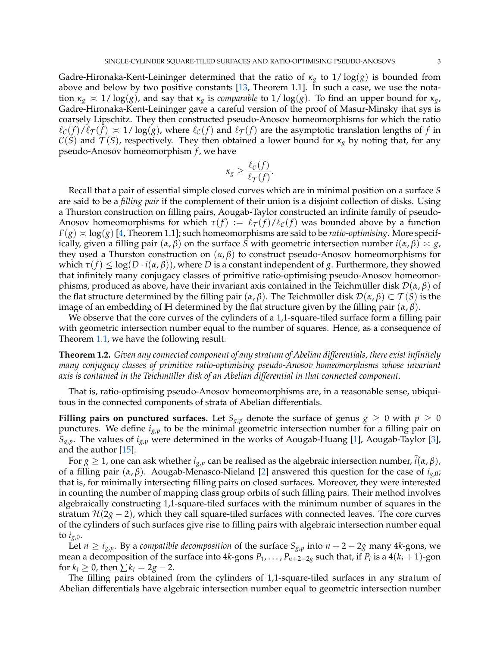Gadre-Hironaka-Kent-Leininger determined that the ratio of *κ<sup>g</sup>* to 1/ log(*g*) is bounded from above and below by two positive constants [\[13,](#page-38-7) Theorem 1.1]. In such a case, we use the notation  $\kappa_g \approx 1/\log(g)$ , and say that  $\kappa_g$  is *comparable* to  $1/\log(g)$ . To find an upper bound for  $\kappa_g$ , Gadre-Hironaka-Kent-Leininger gave a careful version of the proof of Masur-Minsky that sys is coarsely Lipschitz. They then constructed pseudo-Anosov homeomorphisms for which the ratio  $\ell_{\mathcal{C}}(f)/\ell_{\mathcal{T}}(f) \approx 1/\log(g)$ , where  $\ell_{\mathcal{C}}(f)$  and  $\ell_{\mathcal{T}}(f)$  are the asymptotic translation lengths of *f* in  $C(S)$  and  $\mathcal{T}(S)$ , respectively. They then obtained a lower bound for  $\kappa_g$  by noting that, for any pseudo-Anosov homeomorphism *f* , we have

$$
\kappa_g \ge \frac{\ell_{\mathcal{C}}(f)}{\ell_{\mathcal{T}}(f)}.
$$

Recall that a pair of essential simple closed curves which are in minimal position on a surface *S* are said to be a *filling pair* if the complement of their union is a disjoint collection of disks. Using a Thurston construction on filling pairs, Aougab-Taylor constructed an infinite family of pseudo-Anosov homeomorphisms for which  $\tau(f) := \ell_{\tau}(f)/\ell_{\mathcal{C}}(f)$  was bounded above by a function  $F(g) \approx \log(g)$  [\[4,](#page-37-3) Theorem 1.1]; such homeomorphisms are said to be *ratio-optimising*. More specifically, given a filling pair (*α*, *β*) on the surface *S* with geometric intersection number *i*(*α*, *β*) *g*, they used a Thurston construction on (*α*, *β*) to construct pseudo-Anosov homeomorphisms for which  $\tau(f) \leq \log(D \cdot i(\alpha, \beta))$ , where *D* is a constant independent of *g*. Furthermore, they showed that infinitely many conjugacy classes of primitive ratio-optimising pseudo-Anosov homeomorphisms, produced as above, have their invariant axis contained in the Teichmüller disk  $\mathcal{D}(\alpha,\beta)$  of the flat structure determined by the filling pair  $(\alpha, \beta)$ . The Teichmüller disk  $\mathcal{D}(\alpha, \beta) \subset \mathcal{T}(S)$  is the image of an embedding of **H** determined by the flat structure given by the filling pair  $(\alpha, \beta)$ .

We observe that the core curves of the cylinders of a 1,1-square-tiled surface form a filling pair with geometric intersection number equal to the number of squares. Hence, as a consequence of Theorem [1.1,](#page-1-0) we have the following result.

<span id="page-2-0"></span>**Theorem 1.2.** *Given any connected component of any stratum of Abelian differentials, there exist infinitely many conjugacy classes of primitive ratio-optimising pseudo-Anosov homeomorphisms whose invariant* axis is contained in the Teichmüller disk of an Abelian differential in that connected component.

That is, ratio-optimising pseudo-Anosov homeomorphisms are, in a reasonable sense, ubiquitous in the connected components of strata of Abelian differentials.

**Filling pairs on punctured surfaces.** Let  $S_{g,p}$  denote the surface of genus  $g \geq 0$  with  $p \geq 0$ punctures. We define *ig*,*<sup>p</sup>* to be the minimal geometric intersection number for a filling pair on  $S_{g,p}$ . The values of  $i_{g,p}$  were determined in the works of Aougab-Huang [\[1\]](#page-37-4), Aougab-Taylor [\[3\]](#page-37-5), and the author [\[15\]](#page-38-8).

For  $g \geq 1$ , one can ask whether  $i_{g,p}$  can be realised as the algebraic intersection number,  $i(\alpha, \beta)$ , of a filling pair (*α*, *β*). Aougab-Menasco-Nieland [\[2\]](#page-37-6) answered this question for the case of *ig*,0; that is, for minimally intersecting filling pairs on closed surfaces. Moreover, they were interested in counting the number of mapping class group orbits of such filling pairs. Their method involves algebraically constructing 1,1-square-tiled surfaces with the minimum number of squares in the stratum  $\mathcal{H}(2g - 2)$ , which they call square-tiled surfaces with connected leaves. The core curves of the cylinders of such surfaces give rise to filling pairs with algebraic intersection number equal to  $i_{g,0}$ .

Let  $n \ge i_{g,p}$ . By a *compatible decomposition* of the surface  $S_{g,p}$  into  $n+2-2g$  many 4*k*-gons, we mean a decomposition of the surface into  $4k$ -gons  $P_1,\ldots,P_{n+2-2g}$  such that, if  $P_i$  is a  $4(k_i+1)$ -gon for  $k_i \geq 0$ , then  $\sum k_i = 2g - 2$ .

The filling pairs obtained from the cylinders of 1,1-square-tiled surfaces in any stratum of Abelian differentials have algebraic intersection number equal to geometric intersection number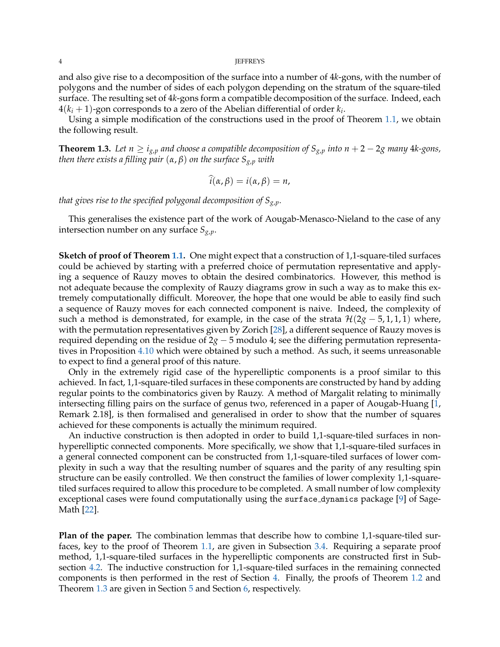#### 4 JEFFREYS

and also give rise to a decomposition of the surface into a number of 4*k*-gons, with the number of polygons and the number of sides of each polygon depending on the stratum of the square-tiled surface. The resulting set of 4*k*-gons form a compatible decomposition of the surface. Indeed, each  $4(k_i+1)$ -gon corresponds to a zero of the Abelian differential of order  $k_i$ .

Using a simple modification of the constructions used in the proof of Theorem [1.1,](#page-1-0) we obtain the following result.

<span id="page-3-0"></span>**Theorem 1.3.** Let  $n \ge i_{g,p}$  and choose a compatible decomposition of  $S_{g,p}$  into  $n + 2 - 2g$  many 4*k*-gons, *then there exists a filling pair* (*α*, *β*) *on the surface Sg*,*<sup>p</sup> with*

$$
\hat{i}(\alpha,\beta)=i(\alpha,\beta)=n,
$$

*that gives rise to the specified polygonal decomposition of Sg*,*p.*

This generalises the existence part of the work of Aougab-Menasco-Nieland to the case of any intersection number on any surface *Sg*,*p*.

**Sketch of proof of Theorem [1.1.](#page-1-0)** One might expect that a construction of 1,1-square-tiled surfaces could be achieved by starting with a preferred choice of permutation representative and applying a sequence of Rauzy moves to obtain the desired combinatorics. However, this method is not adequate because the complexity of Rauzy diagrams grow in such a way as to make this extremely computationally difficult. Moreover, the hope that one would be able to easily find such a sequence of Rauzy moves for each connected component is naive. Indeed, the complexity of such a method is demonstrated, for example, in the case of the strata  $\mathcal{H}(2g - 5, 1, 1, 1)$  where, with the permutation representatives given by Zorich [\[28\]](#page-38-4), a different sequence of Rauzy moves is required depending on the residue of 2*g* − 5 modulo 4; see the differing permutation representatives in Proposition [4.10](#page-31-0) which were obtained by such a method. As such, it seems unreasonable to expect to find a general proof of this nature.

Only in the extremely rigid case of the hyperelliptic components is a proof similar to this achieved. In fact, 1,1-square-tiled surfaces in these components are constructed by hand by adding regular points to the combinatorics given by Rauzy. A method of Margalit relating to minimally intersecting filling pairs on the surface of genus two, referenced in a paper of Aougab-Huang [\[1,](#page-37-4) Remark 2.18], is then formalised and generalised in order to show that the number of squares achieved for these components is actually the minimum required.

An inductive construction is then adopted in order to build 1,1-square-tiled surfaces in nonhyperelliptic connected components. More specifically, we show that 1,1-square-tiled surfaces in a general connected component can be constructed from 1,1-square-tiled surfaces of lower complexity in such a way that the resulting number of squares and the parity of any resulting spin structure can be easily controlled. We then construct the families of lower complexity 1,1-squaretiled surfaces required to allow this procedure to be completed. A small number of low complexity exceptional cases were found computationally using the surface dynamics package [\[9\]](#page-37-2) of Sage-Math [\[22\]](#page-38-5).

**Plan of the paper.** The combination lemmas that describe how to combine 1,1-square-tiled surfaces, key to the proof of Theorem [1.1,](#page-1-0) are given in Subsection [3.4.](#page-11-0) Requiring a separate proof method, 1,1-square-tiled surfaces in the hyperelliptic components are constructed first in Subsection [4.2.](#page-14-0) The inductive construction for 1,1-square-tiled surfaces in the remaining connected components is then performed in the rest of Section [4.](#page-13-0) Finally, the proofs of Theorem [1.2](#page-2-0) and Theorem [1.3](#page-3-0) are given in Section [5](#page-34-0) and Section [6,](#page-36-0) respectively.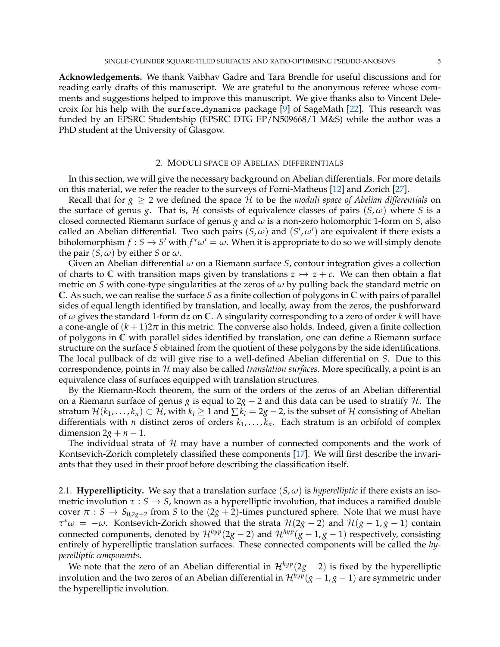**Acknowledgements.** We thank Vaibhav Gadre and Tara Brendle for useful discussions and for reading early drafts of this manuscript. We are grateful to the anonymous referee whose comments and suggestions helped to improve this manuscript. We give thanks also to Vincent Delecroix for his help with the surface dynamics package [\[9\]](#page-37-2) of SageMath [\[22\]](#page-38-5). This research was funded by an EPSRC Studentship (EPSRC DTG EP/N509668/1 M&S) while the author was a PhD student at the University of Glasgow.

### 2. MODULI SPACE OF ABELIAN DIFFERENTIALS

In this section, we will give the necessary background on Abelian differentials. For more details on this material, we refer the reader to the surveys of Forni-Matheus [\[12\]](#page-37-7) and Zorich [\[27\]](#page-38-9).

Recall that for  $g \geq 2$  we defined the space H to be the *moduli space of Abelian differentials* on the surface of genus *g*. That is, H consists of equivalence classes of pairs  $(S, \omega)$  where *S* is a closed connected Riemann surface of genus *g* and *ω* is a non-zero holomorphic 1-form on *S*, also called an Abelian differential. Two such pairs  $(S, \omega)$  and  $(S', \omega')$  are equivalent if there exists a biholomorphism  $f : S \to S'$  with  $f^*\omega' = \omega$ . When it is appropriate to do so we will simply denote the pair  $(S, \omega)$  by either *S* or  $\omega$ .

Given an Abelian differential *ω* on a Riemann surface *S*, contour integration gives a collection of charts to C with transition maps given by translations  $z \mapsto z + c$ . We can then obtain a flat metric on *S* with cone-type singularities at the zeros of  $\omega$  by pulling back the standard metric on **C**. As such, we can realise the surface *S* as a finite collection of polygons in **C** with pairs of parallel sides of equal length identified by translation, and locally, away from the zeros, the pushforward of *ω* gives the standard 1-form d*z* on **C**. A singularity corresponding to a zero of order *k* will have a cone-angle of  $(k + 1)2\pi$  in this metric. The converse also holds. Indeed, given a finite collection of polygons in **C** with parallel sides identified by translation, one can define a Riemann surface structure on the surface *S* obtained from the quotient of these polygons by the side identifications. The local pullback of d*z* will give rise to a well-defined Abelian differential on *S*. Due to this correspondence, points in H may also be called *translation surfaces*. More specifically, a point is an equivalence class of surfaces equipped with translation structures.

By the Riemann-Roch theorem, the sum of the orders of the zeros of an Abelian differential on a Riemann surface of genus *g* is equal to 2*g* − 2 and this data can be used to stratify H. The stratum  $\mathcal{H}(k_1,\ldots,k_n) \subset \mathcal{H}$ , with  $k_i \geq 1$  and  $\sum k_i = 2g - 2$ , is the subset of  $\mathcal{H}$  consisting of Abelian differentials with *n* distinct zeros of orders  $k_1, \ldots, k_n$ . Each stratum is an orbifold of complex dimension  $2g + n - 1$ .

The individual strata of  $H$  may have a number of connected components and the work of Kontsevich-Zorich completely classified these components [\[17\]](#page-38-2). We will first describe the invariants that they used in their proof before describing the classification itself.

2.1. **Hyperellipticity.** We say that a translation surface  $(S, \omega)$  is *hyperelliptic* if there exists an isometric involution  $\tau : S \to S$ , known as a hyperelliptic involution, that induces a ramified double cover  $\pi$  :  $S \rightarrow S_{0,2g+2}$  from *S* to the (2*g* + 2)-times punctured sphere. Note that we must have  $\tau^*\omega = -\omega$ . Kontsevich-Zorich showed that the strata  $\mathcal{H}(2g-2)$  and  $\mathcal{H}(g-1,g-1)$  contain connected components, denoted by  $\mathcal{H}^{hyp}(2g-2)$  and  $\mathcal{H}^{hyp}(g-1,g-1)$  respectively, consisting entirely of hyperelliptic translation surfaces. These connected components will be called the *hyperelliptic components*.

We note that the zero of an Abelian differential in  $\mathcal{H}^{hyp}(2g - 2)$  is fixed by the hyperelliptic involution and the two zeros of an Abelian differential in  $\mathcal{H}^{hyp}(g-1,g-1)$  are symmetric under the hyperelliptic involution.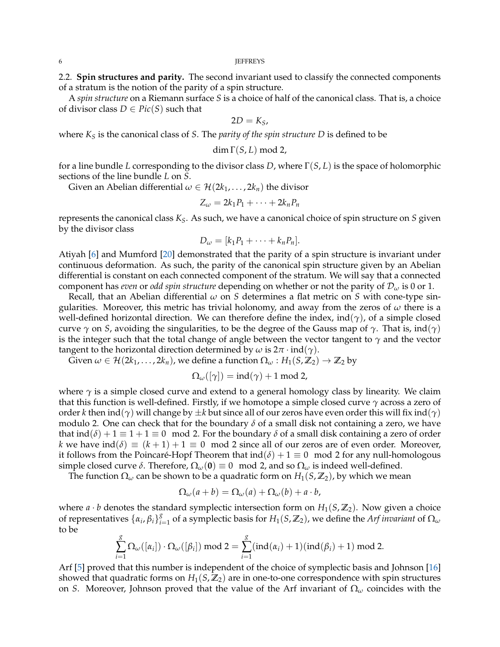2.2. **Spin structures and parity.** The second invariant used to classify the connected components of a stratum is the notion of the parity of a spin structure.

A *spin structure* on a Riemann surface *S* is a choice of half of the canonical class. That is, a choice of divisor class  $D \in Pic(S)$  such that

$$
2D=K_S,
$$

where *K<sup>S</sup>* is the canonical class of *S*. The *parity of the spin structure D* is defined to be

$$
\dim \Gamma(S, L) \bmod 2,
$$

for a line bundle *L* corresponding to the divisor class *D*, where Γ(*S*, *L*) is the space of holomorphic sections of the line bundle *L* on *S*.

Given an Abelian differential  $\omega \in \mathcal{H}(2k_1,\ldots,2k_n)$  the divisor

$$
Z_{\omega}=2k_1P_1+\cdots+2k_nP_n
$$

represents the canonical class *KS*. As such, we have a canonical choice of spin structure on *S* given by the divisor class

$$
D_{\omega}=[k_1P_1+\cdots+k_nP_n].
$$

Atiyah [\[6\]](#page-37-8) and Mumford [\[20\]](#page-38-10) demonstrated that the parity of a spin structure is invariant under continuous deformation. As such, the parity of the canonical spin structure given by an Abelian differential is constant on each connected component of the stratum. We will say that a connected component has *even* or *odd spin structure* depending on whether or not the parity of D*<sup>ω</sup>* is 0 or 1.

Recall, that an Abelian differential *ω* on *S* determines a flat metric on *S* with cone-type singularities. Moreover, this metric has trivial holonomy, and away from the zeros of *ω* there is a well-defined horizontal direction. We can therefore define the index, ind(*γ*), of a simple closed curve  $\gamma$  on *S*, avoiding the singularities, to be the degree of the Gauss map of  $\gamma$ . That is, ind( $\gamma$ ) is the integer such that the total change of angle between the vector tangent to *γ* and the vector tangent to the horizontal direction determined by  $\omega$  is  $2\pi \cdot \text{ind}(\gamma)$ .

Given  $\omega \in \mathcal{H}(2k_1,\ldots,2k_n)$ , we define a function  $\Omega_{\omega}: H_1(S,\mathbb{Z}_2) \to \mathbb{Z}_2$  by

$$
\Omega_{\omega}([\gamma]) = ind(\gamma) + 1 \text{ mod } 2,
$$

where  $\gamma$  is a simple closed curve and extend to a general homology class by linearity. We claim that this function is well-defined. Firstly, if we homotope a simple closed curve *γ* across a zero of order *k* then ind(*γ*) will change by ±*k* but since all of our zeros have even order this will fix ind(*γ*) modulo 2. One can check that for the boundary *δ* of a small disk not containing a zero, we have that  $\text{ind}(\delta) + 1 \equiv 1 + 1 \equiv 0 \mod 2$ . For the boundary  $\delta$  of a small disk containing a zero of order *k* we have  $\text{ind}(\delta) \equiv (k+1) + 1 \equiv 0 \mod 2$  since all of our zeros are of even order. Moreover, it follows from the Poincaré-Hopf Theorem that ind  $(\delta) + 1 \equiv 0 \mod 2$  for any null-homologous simple closed curve  $\delta$ . Therefore,  $\Omega_{\omega}(\mathbf{0}) \equiv 0 \mod 2$ , and so  $\Omega_{\omega}$  is indeed well-defined.

The function  $\Omega_{\omega}$  can be shown to be a quadratic form on  $H_1(S, \mathbb{Z}_2)$ , by which we mean

$$
\Omega_{\omega}(a+b) = \Omega_{\omega}(a) + \Omega_{\omega}(b) + a \cdot b,
$$

where  $a \cdot b$  denotes the standard symplectic intersection form on  $H_1(S, \mathbb{Z}_2)$ . Now given a choice of representatives  $\{\alpha_i, \beta_i\}_{i=1}^g$  $\sum_{i=1}^{8}$  of a symplectic basis for  $H_1(S,\mathbb{Z}_2)$ , we define the *Arf invariant* of  $\Omega_\omega$ to be

$$
\sum_{i=1}^{g} \Omega_{\omega}([\alpha_i]) \cdot \Omega_{\omega}([\beta_i]) \text{ mod } 2 = \sum_{i=1}^{g} (ind(\alpha_i) + 1)(ind(\beta_i) + 1) \text{ mod } 2.
$$

Arf [\[5\]](#page-37-9) proved that this number is independent of the choice of symplectic basis and Johnson [\[16\]](#page-38-11) showed that quadratic forms on  $H_1(S,\mathbb{Z}_2)$  are in one-to-one correspondence with spin structures on *S*. Moreover, Johnson proved that the value of the Arf invariant of Ω*<sup>ω</sup>* coincides with the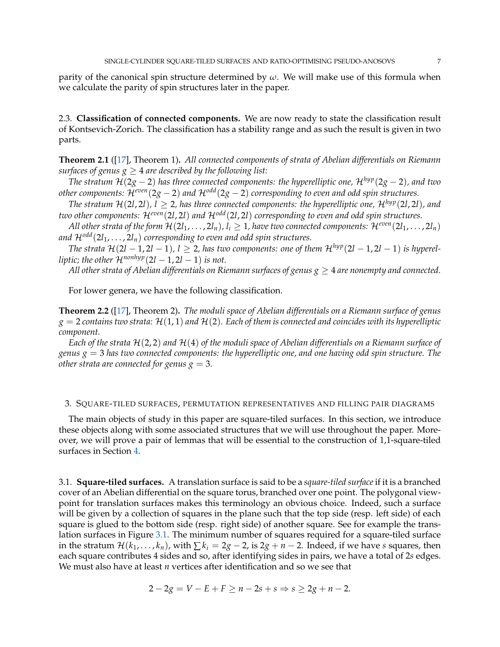parity of the canonical spin structure determined by *ω*. We will make use of this formula when we calculate the parity of spin structures later in the paper.

2.3. **Classification of connected components.** We are now ready to state the classification result of Kontsevich-Zorich. The classification has a stability range and as such the result is given in two parts.

**Theorem 2.1** ([\[17\]](#page-38-2), Theorem 1)**.** *All connected components of strata of Abelian differentials on Riemann surfaces of genus*  $g \geq 4$  *are described by the following list:* 

*The stratum*  $\mathcal{H}(2g - 2)$  *has three connected components: the hyperelliptic one,*  $\mathcal{H}^{hyp}(2g - 2)$ *, and two other components:* H*even*(2*g* − 2) *and* H*odd*(2*g* − 2) *corresponding to even and odd spin structures.*

*The stratum*  $\mathcal{H}(2l, 2l)$ ,  $l \geq 2$ , has three connected components: the hyperelliptic one,  $\mathcal{H}^{hyp}(2l, 2l)$ , and *two other components:* H*even*(2*l*, 2*l*) *and* H*odd*(2*l*, 2*l*) *corresponding to even and odd spin structures.*

*All other strata of the form*  $\mathcal{H}(2l_1,\ldots,2l_n)$ ,  $l_i \geq 1$ , have two connected components:  $\mathcal{H}^{even}(2l_1,\ldots,2l_n)$ and  $\mathcal{H}^{odd}(2l_1,\ldots,2l_n)$  *corresponding to even and odd spin structures.* 

*The strata*  $\mathcal{H}(2l - 1, 2l - 1), l \geq 2$ , has two components: one of them  $\mathcal{H}^{hyp}(2l - 1, 2l - 1)$  is hyperel*liptic; the other*  $\mathcal{H}^{nonhyp}(2l - 1, 2l - 1)$  *is not.* 

*All other strata of Abelian differentials on Riemann surfaces of genus*  $g \geq 4$  *are nonempty and connected.* 

For lower genera, we have the following classification.

**Theorem 2.2** ([\[17\]](#page-38-2), Theorem 2)**.** *The moduli space of Abelian differentials on a Riemann surface of genus*  $g = 2$  *contains two strata:*  $\mathcal{H}(1, 1)$  *and*  $\mathcal{H}(2)$ *. Each of them is connected and coincides with its hyperelliptic component.*

*Each of the strata* H(2, 2) *and* H(4) *of the moduli space of Abelian differentials on a Riemann surface of genus*  $g = 3$  *has two connected components: the hyperelliptic one, and one having odd spin structure. The other strata are connected for genus*  $g = 3$ *.* 

## 3. SQUARE-TILED SURFACES, PERMUTATION REPRESENTATIVES AND FILLING PAIR DIAGRAMS

The main objects of study in this paper are square-tiled surfaces. In this section, we introduce these objects along with some associated structures that we will use throughout the paper. Moreover, we will prove a pair of lemmas that will be essential to the construction of 1,1-square-tiled surfaces in Section [4.](#page-13-0)

3.1. **Square-tiled surfaces.** A translation surface is said to be a *square-tiled surface* if it is a branched cover of an Abelian differential on the square torus, branched over one point. The polygonal viewpoint for translation surfaces makes this terminology an obvious choice. Indeed, such a surface will be given by a collection of squares in the plane such that the top side (resp. left side) of each square is glued to the bottom side (resp. right side) of another square. See for example the translation surfaces in Figure [3.1.](#page-7-0) The minimum number of squares required for a square-tiled surface in the stratum  $\mathcal{H}(k_1,\ldots,k_n)$ , with  $\sum k_i = 2g - 2$ , is  $2g + n - 2$ . Indeed, if we have *s* squares, then each square contributes 4 sides and so, after identifying sides in pairs, we have a total of 2*s* edges. We must also have at least *n* vertices after identification and so we see that

$$
2 - 2g = V - E + F \ge n - 2s + s \Rightarrow s \ge 2g + n - 2.
$$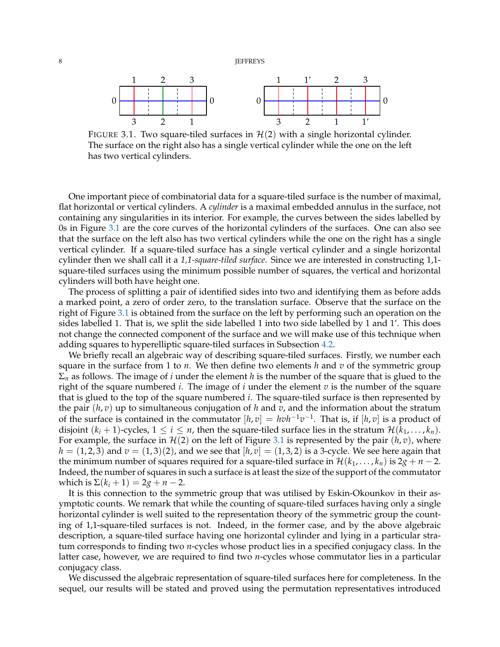<span id="page-7-0"></span>8 **JEFFREYS** 



FIGURE 3.1. Two square-tiled surfaces in  $\mathcal{H}(2)$  with a single horizontal cylinder. The surface on the right also has a single vertical cylinder while the one on the left has two vertical cylinders.

One important piece of combinatorial data for a square-tiled surface is the number of maximal, flat horizontal or vertical cylinders. A *cylinder* is a maximal embedded annulus in the surface, not containing any singularities in its interior. For example, the curves between the sides labelled by 0s in Figure [3.1](#page-7-0) are the core curves of the horizontal cylinders of the surfaces. One can also see that the surface on the left also has two vertical cylinders while the one on the right has a single vertical cylinder. If a square-tiled surface has a single vertical cylinder and a single horizontal cylinder then we shall call it a *1,1-square-tiled surface*. Since we are interested in constructing 1,1 square-tiled surfaces using the minimum possible number of squares, the vertical and horizontal cylinders will both have height one.

The process of splitting a pair of identified sides into two and identifying them as before adds a marked point, a zero of order zero, to the translation surface. Observe that the surface on the right of Figure [3.1](#page-7-0) is obtained from the surface on the left by performing such an operation on the sides labelled 1. That is, we split the side labelled 1 into two side labelled by 1 and 1'. This does not change the connected component of the surface and we will make use of this technique when adding squares to hyperelliptic square-tiled surfaces in Subsection [4.2.](#page-14-0)

We briefly recall an algebraic way of describing square-tiled surfaces. Firstly, we number each square in the surface from 1 to *n*. We then define two elements *h* and *v* of the symmetric group Σ*<sup>n</sup>* as follows. The image of *i* under the element *h* is the number of the square that is glued to the right of the square numbered *i*. The image of *i* under the element *v* is the number of the square that is glued to the top of the square numbered *i*. The square-tiled surface is then represented by the pair (*h*, *v*) up to simultaneous conjugation of *h* and *v*, and the information about the stratum of the surface is contained in the commutator  $[h, v] = hvh^{-1}v^{-1}$ . That is, if  $[h, v]$  is a product of disjoint  $(k_i + 1)$ -cycles,  $1 \le i \le n$ , then the square-tiled surface lies in the stratum  $\mathcal{H}(k_1, \ldots, k_n)$ . For example, the surface in  $\mathcal{H}(2)$  on the left of Figure [3.1](#page-7-0) is represented by the pair  $(h, v)$ , where  $h = (1, 2, 3)$  and  $v = (1, 3)(2)$ , and we see that  $[h, v] = (1, 3, 2)$  is a 3-cycle. We see here again that the minimum number of squares required for a square-tiled surface in  $\mathcal{H}(k_1, \ldots, k_n)$  is  $2g + n - 2$ . Indeed, the number of squares in such a surface is at least the size of the support of the commutator which is  $\Sigma(k_i + 1) = 2g + n - 2$ .

It is this connection to the symmetric group that was utilised by Eskin-Okounkov in their asymptotic counts. We remark that while the counting of square-tiled surfaces having only a single horizontal cylinder is well suited to the representation theory of the symmetric group the counting of 1,1-square-tiled surfaces is not. Indeed, in the former case, and by the above algebraic description, a square-tiled surface having one horizontal cylinder and lying in a particular stratum corresponds to finding two *n*-cycles whose product lies in a specified conjugacy class. In the latter case, however, we are required to find two *n*-cycles whose commutator lies in a particular conjugacy class.

We discussed the algebraic representation of square-tiled surfaces here for completeness. In the sequel, our results will be stated and proved using the permutation representatives introduced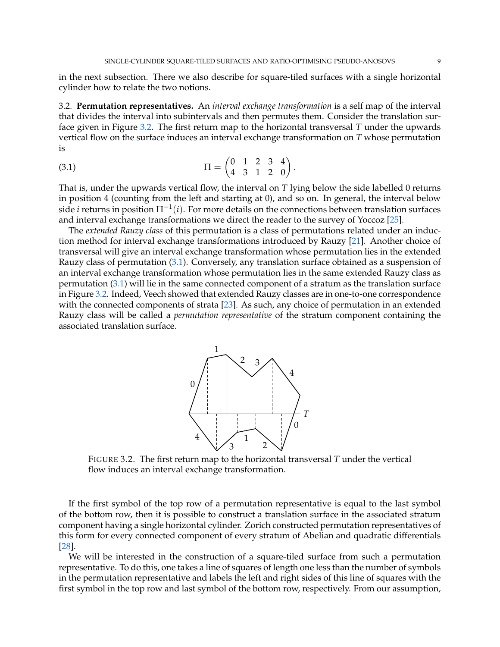in the next subsection. There we also describe for square-tiled surfaces with a single horizontal cylinder how to relate the two notions.

<span id="page-8-2"></span>3.2. **Permutation representatives.** An *interval exchange transformation* is a self map of the interval that divides the interval into subintervals and then permutes them. Consider the translation surface given in Figure [3.2.](#page-8-0) The first return map to the horizontal transversal *T* under the upwards vertical flow on the surface induces an interval exchange transformation on *T* whose permutation is

(3.1) 
$$
\Pi = \begin{pmatrix} 0 & 1 & 2 & 3 & 4 \\ 4 & 3 & 1 & 2 & 0 \end{pmatrix}
$$

That is, under the upwards vertical flow, the interval on *T* lying below the side labelled 0 returns in position 4 (counting from the left and starting at 0), and so on. In general, the interval below side *i* returns in position Π−<sup>1</sup> (*i*). For more details on the connections between translation surfaces and interval exchange transformations we direct the reader to the survey of Yoccoz [\[25\]](#page-38-12).

<span id="page-8-1"></span>.

<span id="page-8-0"></span>The *extended Rauzy class* of this permutation is a class of permutations related under an induction method for interval exchange transformations introduced by Rauzy [\[21\]](#page-38-13). Another choice of transversal will give an interval exchange transformation whose permutation lies in the extended Rauzy class of permutation [\(3.1\)](#page-8-1). Conversely, any translation surface obtained as a suspension of an interval exchange transformation whose permutation lies in the same extended Rauzy class as permutation [\(3.1\)](#page-8-1) will lie in the same connected component of a stratum as the translation surface in Figure [3.2.](#page-8-0) Indeed, Veech showed that extended Rauzy classes are in one-to-one correspondence with the connected components of strata [\[23\]](#page-38-1). As such, any choice of permutation in an extended Rauzy class will be called a *permutation representative* of the stratum component containing the associated translation surface.



FIGURE 3.2. The first return map to the horizontal transversal *T* under the vertical flow induces an interval exchange transformation.

If the first symbol of the top row of a permutation representative is equal to the last symbol of the bottom row, then it is possible to construct a translation surface in the associated stratum component having a single horizontal cylinder. Zorich constructed permutation representatives of this form for every connected component of every stratum of Abelian and quadratic differentials [\[28\]](#page-38-4).

We will be interested in the construction of a square-tiled surface from such a permutation representative. To do this, one takes a line of squares of length one less than the number of symbols in the permutation representative and labels the left and right sides of this line of squares with the first symbol in the top row and last symbol of the bottom row, respectively. From our assumption,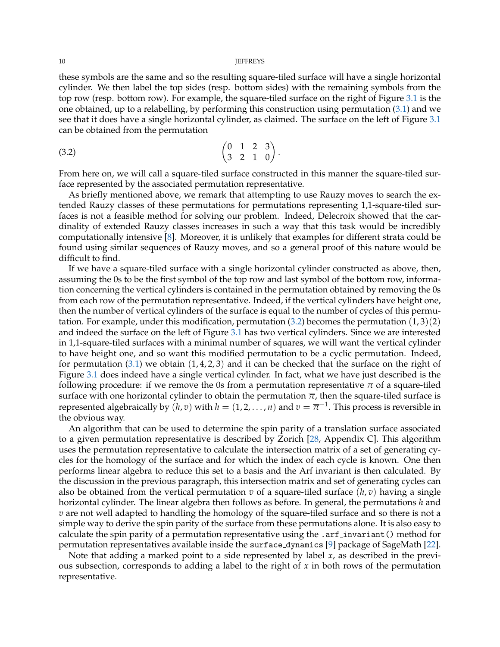these symbols are the same and so the resulting square-tiled surface will have a single horizontal cylinder. We then label the top sides (resp. bottom sides) with the remaining symbols from the top row (resp. bottom row). For example, the square-tiled surface on the right of Figure [3.1](#page-7-0) is the one obtained, up to a relabelling, by performing this construction using permutation [\(3.1\)](#page-8-1) and we see that it does have a single horizontal cylinder, as claimed. The surface on the left of Figure [3.1](#page-7-0) can be obtained from the permutation

<span id="page-9-0"></span>
$$
\begin{pmatrix} 0 & 1 & 2 & 3 \\ 3 & 2 & 1 & 0 \end{pmatrix}.
$$

From here on, we will call a square-tiled surface constructed in this manner the square-tiled surface represented by the associated permutation representative.

As briefly mentioned above, we remark that attempting to use Rauzy moves to search the extended Rauzy classes of these permutations for permutations representing 1,1-square-tiled surfaces is not a feasible method for solving our problem. Indeed, Delecroix showed that the cardinality of extended Rauzy classes increases in such a way that this task would be incredibly computationally intensive [\[8\]](#page-37-10). Moreover, it is unlikely that examples for different strata could be found using similar sequences of Rauzy moves, and so a general proof of this nature would be difficult to find.

If we have a square-tiled surface with a single horizontal cylinder constructed as above, then, assuming the 0s to be the first symbol of the top row and last symbol of the bottom row, information concerning the vertical cylinders is contained in the permutation obtained by removing the 0s from each row of the permutation representative. Indeed, if the vertical cylinders have height one, then the number of vertical cylinders of the surface is equal to the number of cycles of this permutation. For example, under this modification, permutation  $(3.2)$  becomes the permutation  $(1,3)(2)$ and indeed the surface on the left of Figure [3.1](#page-7-0) has two vertical cylinders. Since we are interested in 1,1-square-tiled surfaces with a minimal number of squares, we will want the vertical cylinder to have height one, and so want this modified permutation to be a cyclic permutation. Indeed, for permutation  $(3.1)$  we obtain  $(1, 4, 2, 3)$  and it can be checked that the surface on the right of Figure [3.1](#page-7-0) does indeed have a single vertical cylinder. In fact, what we have just described is the following procedure: if we remove the 0s from a permutation representative  $\pi$  of a square-tiled surface with one horizontal cylinder to obtain the permutation  $\overline{\pi}$ , then the square-tiled surface is represented algebraically by  $(h, v)$  with  $h = (1, 2, \ldots, n)$  and  $v = \overline{\pi}^{-1}$ . This process is reversible in the obvious way.

An algorithm that can be used to determine the spin parity of a translation surface associated to a given permutation representative is described by Zorich [\[28,](#page-38-4) Appendix C]. This algorithm uses the permutation representative to calculate the intersection matrix of a set of generating cycles for the homology of the surface and for which the index of each cycle is known. One then performs linear algebra to reduce this set to a basis and the Arf invariant is then calculated. By the discussion in the previous paragraph, this intersection matrix and set of generating cycles can also be obtained from the vertical permutation  $v$  of a square-tiled surface  $(h, v)$  having a single horizontal cylinder. The linear algebra then follows as before. In general, the permutations *h* and *v* are not well adapted to handling the homology of the square-tiled surface and so there is not a simple way to derive the spin parity of the surface from these permutations alone. It is also easy to calculate the spin parity of a permutation representative using the .arf invariant() method for permutation representatives available inside the surface dynamics [\[9\]](#page-37-2) package of SageMath [\[22\]](#page-38-5).

<span id="page-9-1"></span>Note that adding a marked point to a side represented by label *x*, as described in the previous subsection, corresponds to adding a label to the right of *x* in both rows of the permutation representative.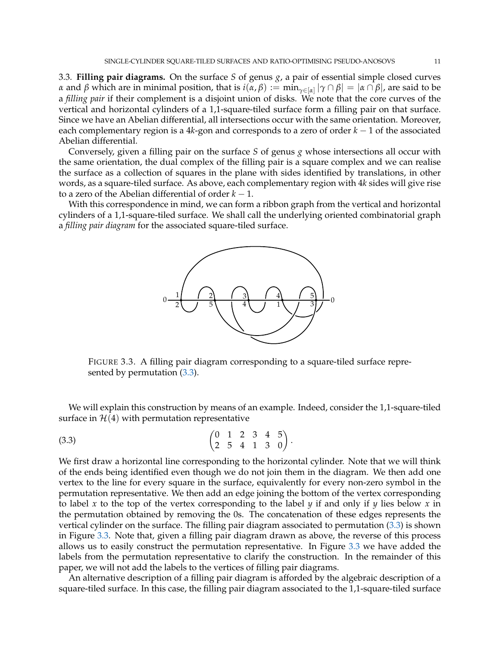3.3. **Filling pair diagrams.** On the surface *S* of genus *g*, a pair of essential simple closed curves *α* and *β* which are in minimal position, that is  $i(\alpha, \beta) := min_{\gamma \in [\alpha]} |\gamma \cap \beta| = |\alpha \cap \beta|$ , are said to be a *filling pair* if their complement is a disjoint union of disks. We note that the core curves of the vertical and horizontal cylinders of a 1,1-square-tiled surface form a filling pair on that surface. Since we have an Abelian differential, all intersections occur with the same orientation. Moreover, each complementary region is a 4*k*-gon and corresponds to a zero of order *k* − 1 of the associated Abelian differential.

Conversely, given a filling pair on the surface *S* of genus *g* whose intersections all occur with the same orientation, the dual complex of the filling pair is a square complex and we can realise the surface as a collection of squares in the plane with sides identified by translations, in other words, as a square-tiled surface. As above, each complementary region with 4*k* sides will give rise to a zero of the Abelian differential of order  $k - 1$ .

<span id="page-10-1"></span>With this correspondence in mind, we can form a ribbon graph from the vertical and horizontal cylinders of a 1,1-square-tiled surface. We shall call the underlying oriented combinatorial graph a *filling pair diagram* for the associated square-tiled surface.



<span id="page-10-0"></span>FIGURE 3.3. A filling pair diagram corresponding to a square-tiled surface represented by permutation [\(3.3\)](#page-10-0).

We will explain this construction by means of an example. Indeed, consider the 1,1-square-tiled surface in  $H(4)$  with permutation representative

$$
(3.3) \qquad \qquad \begin{pmatrix} 0 & 1 & 2 & 3 & 4 & 5 \\ 2 & 5 & 4 & 1 & 3 & 0 \end{pmatrix}.
$$

We first draw a horizontal line corresponding to the horizontal cylinder. Note that we will think of the ends being identified even though we do not join them in the diagram. We then add one vertex to the line for every square in the surface, equivalently for every non-zero symbol in the permutation representative. We then add an edge joining the bottom of the vertex corresponding to label x to the top of the vertex corresponding to the label  $\gamma$  if and only if  $\gamma$  lies below x in the permutation obtained by removing the 0s. The concatenation of these edges represents the vertical cylinder on the surface. The filling pair diagram associated to permutation [\(3.3\)](#page-10-0) is shown in Figure [3.3.](#page-10-1) Note that, given a filling pair diagram drawn as above, the reverse of this process allows us to easily construct the permutation representative. In Figure [3.3](#page-10-1) we have added the labels from the permutation representative to clarify the construction. In the remainder of this paper, we will not add the labels to the vertices of filling pair diagrams.

An alternative description of a filling pair diagram is afforded by the algebraic description of a square-tiled surface. In this case, the filling pair diagram associated to the 1,1-square-tiled surface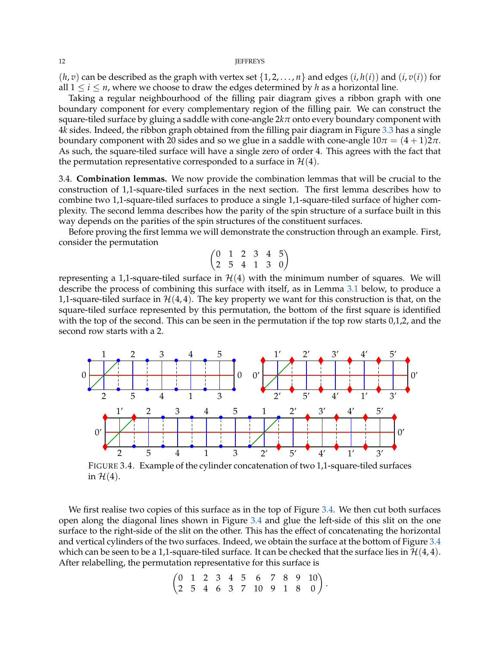$(h, v)$  can be described as the graph with vertex set  $\{1, 2, ..., n\}$  and edges  $(i, h(i))$  and  $(i, v(i))$  for all  $1 \le i \le n$ , where we choose to draw the edges determined by h as a horizontal line.

Taking a regular neighbourhood of the filling pair diagram gives a ribbon graph with one boundary component for every complementary region of the filling pair. We can construct the square-tiled surface by gluing a saddle with cone-angle 2*kπ* onto every boundary component with 4*k* sides. Indeed, the ribbon graph obtained from the filling pair diagram in Figure [3.3](#page-10-1) has a single boundary component with 20 sides and so we glue in a saddle with cone-angle  $10\pi = (4 + 1)2\pi$ . As such, the square-tiled surface will have a single zero of order 4. This agrees with the fact that the permutation representative corresponded to a surface in  $\mathcal{H}(4)$ .

<span id="page-11-0"></span>3.4. **Combination lemmas.** We now provide the combination lemmas that will be crucial to the construction of 1,1-square-tiled surfaces in the next section. The first lemma describes how to combine two 1,1-square-tiled surfaces to produce a single 1,1-square-tiled surface of higher complexity. The second lemma describes how the parity of the spin structure of a surface built in this way depends on the parities of the spin structures of the constituent surfaces.

Before proving the first lemma we will demonstrate the construction through an example. First, consider the permutation

$$
\begin{pmatrix}\n0 & 1 & 2 & 3 & 4 & 5 \\
2 & 5 & 4 & 1 & 3 & 0\n\end{pmatrix}
$$

representing a 1,1-square-tiled surface in  $H(4)$  with the minimum number of squares. We will describe the process of combining this surface with itself, as in Lemma [3.1](#page-12-0) below, to produce a 1,1-square-tiled surface in  $H(4, 4)$ . The key property we want for this construction is that, on the square-tiled surface represented by this permutation, the bottom of the first square is identified with the top of the second. This can be seen in the permutation if the top row starts 0,1,2, and the second row starts with a 2.

<span id="page-11-1"></span>

FIGURE 3.4. Example of the cylinder concatenation of two 1,1-square-tiled surfaces in  $H(4)$ .

We first realise two copies of this surface as in the top of Figure [3.4.](#page-11-1) We then cut both surfaces open along the diagonal lines shown in Figure [3.4](#page-11-1) and glue the left-side of this slit on the one surface to the right-side of the slit on the other. This has the effect of concatenating the horizontal and vertical cylinders of the two surfaces. Indeed, we obtain the surface at the bottom of Figure [3.4](#page-11-1) which can be seen to be a 1,1-square-tiled surface. It can be checked that the surface lies in  $\mathcal{H}(4,4)$ . After relabelling, the permutation representative for this surface is

$$
\begin{pmatrix}\n0 & 1 & 2 & 3 & 4 & 5 & 6 & 7 & 8 & 9 & 10 \\
2 & 5 & 4 & 6 & 3 & 7 & 10 & 9 & 1 & 8 & 0\n\end{pmatrix}.
$$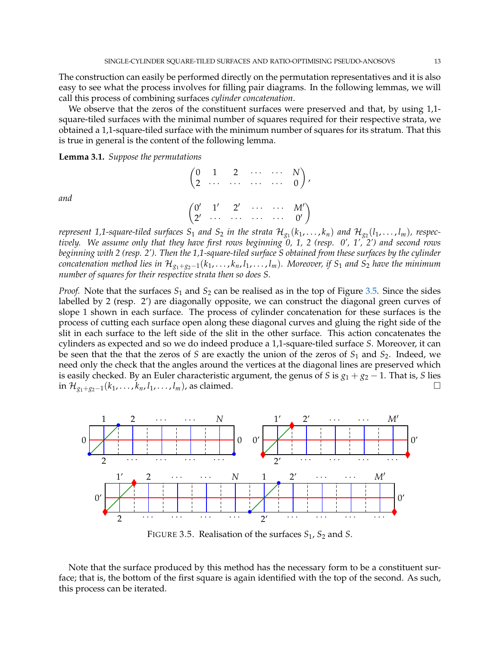The construction can easily be performed directly on the permutation representatives and it is also easy to see what the process involves for filling pair diagrams. In the following lemmas, we will call this process of combining surfaces *cylinder concatenation*.

We observe that the zeros of the constituent surfaces were preserved and that, by using 1,1 square-tiled surfaces with the minimal number of squares required for their respective strata, we obtained a 1,1-square-tiled surface with the minimum number of squares for its stratum. That this is true in general is the content of the following lemma.

<span id="page-12-0"></span>**Lemma 3.1.** *Suppose the permutations*

 $\begin{pmatrix} 0 & 1 & 2 & \cdots & \cdots & N \end{pmatrix}$  $2 \cdots \cdots \cdots \cdots \cdots 0$  $\setminus$ ,  $(0' \t1' \t2' \cdots \t M')$  $2'$   $\cdots$   $\cdots$   $\cdots$   $\cdots$  0'  $\setminus$ 

*and*

represent 1,1-square-tiled surfaces  $S_1$  and  $S_2$  in the strata  $\mathcal{H}_{g_1}(k_1,\ldots,k_n)$  and  $\mathcal{H}_{g_2}(l_1,\ldots,l_m)$ , respec*tively. We assume only that they have first rows beginning 0, 1, 2 (resp. 0', 1', 2') and second rows beginning with 2 (resp. 2'). Then the 1,1-square-tiled surface S obtained from these surfaces by the cylinder concatenation method lies in*  $\mathcal{H}_{g_1+g_2-1}(k_1,\ldots,k_n,l_1,\ldots,l_m)$ *. Moreover, if*  $S_1$  *and*  $S_2$  *have the minimum number of squares for their respective strata then so does S.*

*Proof.* Note that the surfaces  $S_1$  and  $S_2$  can be realised as in the top of Figure [3.5.](#page-12-1) Since the sides labelled by 2 (resp. 2') are diagonally opposite, we can construct the diagonal green curves of slope 1 shown in each surface. The process of cylinder concatenation for these surfaces is the process of cutting each surface open along these diagonal curves and gluing the right side of the slit in each surface to the left side of the slit in the other surface. This action concatenates the cylinders as expected and so we do indeed produce a 1,1-square-tiled surface *S*. Moreover, it can be seen that the that the zeros of *S* are exactly the union of the zeros of  $S_1$  and  $S_2$ . Indeed, we need only the check that the angles around the vertices at the diagonal lines are preserved which is easily checked. By an Euler characteristic argument, the genus of *S* is  $g_1 + g_2 - 1$ . That is, *S* lies in  $\mathcal{H}_{g_1+g_2-1}(k_1,...,k_n, l_1,...,l_m)$ , as claimed.

<span id="page-12-1"></span>

FIGURE 3.5. Realisation of the surfaces *S*1, *S*<sup>2</sup> and *S*.

Note that the surface produced by this method has the necessary form to be a constituent surface; that is, the bottom of the first square is again identified with the top of the second. As such, this process can be iterated.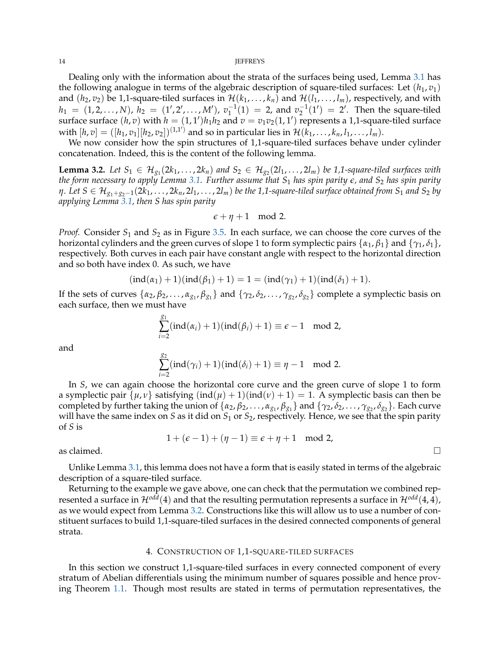Dealing only with the information about the strata of the surfaces being used, Lemma [3.1](#page-12-0) has the following analogue in terms of the algebraic description of square-tiled surfaces: Let  $(h_1, v_1)$ and  $(h_2, v_2)$  be 1,1-square-tiled surfaces in  $\mathcal{H}(k_1, \ldots, k_n)$  and  $\mathcal{H}(l_1, \ldots, l_m)$ , respectively, and with  $h_1 = (1, 2, ..., N), h_2 = (1', 2', ..., M'), v_1^{-1}(1) = 2$ , and  $v_2^{-1}(1') = 2'$ . Then the square-tiled surface surface  $(h, v)$  with  $h = (1, 1')h_1h_2$  and  $v = v_1v_2(1, 1')$  represents a 1,1-square-tiled surface with  $[h, v] = ([h_1, v_1][h_2, v_2])^{(1,1')}$  and so in particular lies in  $\mathcal{H}(k_1, \ldots, k_n, l_1, \ldots, l_m)$ .

We now consider how the spin structures of 1,1-square-tiled surfaces behave under cylinder concatenation. Indeed, this is the content of the following lemma.

<span id="page-13-1"></span>**Lemma 3.2.** Let  $S_1 \in H_{g_1}(2k_1,\ldots,2k_n)$  and  $S_2 \in H_{g_2}(2l_1,\ldots,2l_m)$  be 1,1-square-tiled surfaces with *the form necessary to apply Lemma [3.1.](#page-12-0) Further assume that S*<sup>1</sup> *has spin parity e, and S*<sup>2</sup> *has spin parity n*. Let  $S \in H_{g_1+g_2-1}(2k_1,\ldots,2k_n,2l_1,\ldots,2l_m)$  be the 1,1-square-tiled surface obtained from  $S_1$  and  $S_2$  by *applying Lemma [3.1,](#page-12-0) then S has spin parity*

$$
\epsilon+\eta+1\mod 2.
$$

*Proof.* Consider *S*<sup>1</sup> and *S*<sup>2</sup> as in Figure [3.5.](#page-12-1) In each surface, we can choose the core curves of the horizontal cylinders and the green curves of slope 1 to form symplectic pairs  $\{\alpha_1, \beta_1\}$  and  $\{\gamma_1, \delta_1\}$ , respectively. Both curves in each pair have constant angle with respect to the horizontal direction and so both have index 0. As such, we have

$$
(\text{ind}(\alpha_1) + 1)(\text{ind}(\beta_1) + 1) = 1 = (\text{ind}(\gamma_1) + 1)(\text{ind}(\delta_1) + 1).
$$

If the sets of curves  $\{\alpha_2, \beta_2, \ldots, \alpha_{g_1}, \beta_{g_1}\}$  and  $\{\gamma_2, \delta_2, \ldots, \gamma_{g_2}, \delta_{g_2}\}$  complete a symplectic basis on each surface, then we must have

$$
\sum_{i=2}^{g_1} (ind(\alpha_i) + 1)(ind(\beta_i) + 1) \equiv \epsilon - 1 \mod 2,
$$

and

$$
\sum_{i=2}^{g_2} (ind(\gamma_i) + 1)(ind(\delta_i) + 1) \equiv \eta - 1 \mod 2.
$$

In *S*, we can again choose the horizontal core curve and the green curve of slope 1 to form a symplectic pair  $\{\mu, \nu\}$  satisfying  $(\text{ind}(\mu) + 1)(\text{ind}(\nu) + 1) = 1$ . A symplectic basis can then be completed by further taking the union of  $\{\alpha_2, \beta_2, \ldots, \alpha_{g_1}, \beta_{g_1}\}$  and  $\{\gamma_2, \delta_2, \ldots, \gamma_{g_2}, \delta_{g_2}\}$ . Each curve will have the same index on *S* as it did on *S*<sup>1</sup> or *S*2, respectively. Hence, we see that the spin parity of *S* is

 $1 + (\epsilon - 1) + (\eta - 1) \equiv \epsilon + \eta + 1 \mod 2$ ,

as claimed.  $\square$ 

Unlike Lemma [3.1,](#page-12-0) this lemma does not have a form that is easily stated in terms of the algebraic description of a square-tiled surface.

Returning to the example we gave above, one can check that the permutation we combined represented a surface in  $\mathcal{H}^{odd}(4)$  and that the resulting permutation represents a surface in  $\mathcal{H}^{odd}(4,4)$ , as we would expect from Lemma [3.2.](#page-13-1) Constructions like this will allow us to use a number of constituent surfaces to build 1,1-square-tiled surfaces in the desired connected components of general strata.

### 4. CONSTRUCTION OF 1,1-SQUARE-TILED SURFACES

<span id="page-13-0"></span>In this section we construct 1,1-square-tiled surfaces in every connected component of every stratum of Abelian differentials using the minimum number of squares possible and hence proving Theorem [1.1.](#page-1-0) Though most results are stated in terms of permutation representatives, the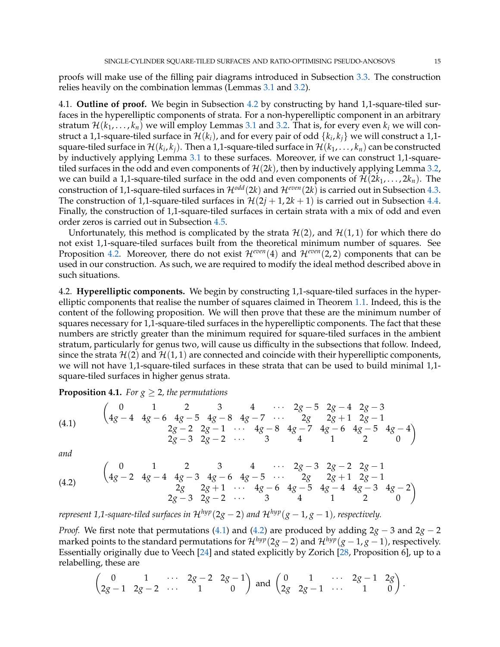proofs will make use of the filling pair diagrams introduced in Subsection [3.3.](#page-9-1) The construction relies heavily on the combination lemmas (Lemmas [3.1](#page-12-0) and [3.2\)](#page-13-1).

4.1. **Outline of proof.** We begin in Subsection [4.2](#page-14-0) by constructing by hand 1,1-square-tiled surfaces in the hyperelliptic components of strata. For a non-hyperelliptic component in an arbitrary stratum  $\mathcal{H}(k_1,\ldots,k_n)$  we will employ Lemmas [3.1](#page-12-0) and [3.2.](#page-13-1) That is, for every even  $k_i$  we will construct a 1,1-square-tiled surface in  $\mathcal{H}(k_i)$ , and for every pair of odd  $\{k_i,k_j\}$  we will construct a 1,1square-tiled surface in  $\mathcal{H}(k_i,k_j).$  Then a 1,1-square-tiled surface in  $\mathcal{H}(k_1,\ldots,k_n)$  can be constructed by inductively applying Lemma [3.1](#page-12-0) to these surfaces. Moreover, if we can construct 1,1-squaretiled surfaces in the odd and even components of  $\mathcal{H}(2k)$ , then by inductively applying Lemma [3.2,](#page-13-1) we can build a 1,1-square-tiled surface in the odd and even components of  $\mathcal{H}(2k_1,\ldots,2k_n)$ . The construction of 1,1-square-tiled surfaces in  $\mathcal{H}^{odd}(2k)$  and  $\mathcal{H}^{even}(2k)$  is carried out in Subsection [4.3.](#page-16-0) The construction of 1,1-square-tiled surfaces in  $\mathcal{H}(2j + 1, 2k + 1)$  is carried out in Subsection [4.4.](#page-25-0) Finally, the construction of 1,1-square-tiled surfaces in certain strata with a mix of odd and even order zeros is carried out in Subsection [4.5.](#page-31-1)

Unfortunately, this method is complicated by the strata  $\mathcal{H}(2)$ , and  $\mathcal{H}(1, 1)$  for which there do not exist 1,1-square-tiled surfaces built from the theoretical minimum number of squares. See Proposition [4.2.](#page-15-0) Moreover, there do not exist  $\mathcal{H}^{even}(4)$  and  $\mathcal{H}^{even}(2,2)$  components that can be used in our construction. As such, we are required to modify the ideal method described above in such situations.

<span id="page-14-0"></span>4.2. **Hyperelliptic components.** We begin by constructing 1,1-square-tiled surfaces in the hyperelliptic components that realise the number of squares claimed in Theorem [1.1.](#page-1-0) Indeed, this is the content of the following proposition. We will then prove that these are the minimum number of squares necessary for 1,1-square-tiled surfaces in the hyperelliptic components. The fact that these numbers are strictly greater than the minimum required for square-tiled surfaces in the ambient stratum, particularly for genus two, will cause us difficulty in the subsections that follow. Indeed, since the strata  $\mathcal{H}(2)$  and  $\mathcal{H}(1, 1)$  are connected and coincide with their hyperelliptic components, we will not have 1,1-square-tiled surfaces in these strata that can be used to build minimal 1,1 square-tiled surfaces in higher genus strata.

<span id="page-14-3"></span>**Proposition 4.1.** *For*  $g \geq 2$ *, the permutations* 

<span id="page-14-1"></span>
$$
(4.1) \qquad \begin{pmatrix} 0 & 1 & 2 & 3 & 4 & \cdots & 2g-5 & 2g-4 & 2g-3 \\ 4g-4 & 4g-6 & 4g-5 & 4g-8 & 4g-7 & \cdots & 2g & 2g+1 & 2g-1 \\ & 2g-2 & 2g-1 & \cdots & 4g-8 & 4g-7 & 4g-6 & 4g-5 & 4g-4 \\ 2g-3 & 2g-2 & \cdots & 3 & 4 & 1 & 2 \end{pmatrix}
$$

*and*

<span id="page-14-2"></span>
$$
(4.2) \qquad \begin{pmatrix} 0 & 1 & 2 & 3 & 4 & \cdots & 2g-3 & 2g-2 & 2g-1 \\ 4g-2 & 4g-4 & 4g-3 & 4g-6 & 4g-5 & \cdots & 2g & 2g+1 & 2g-1 \\ & & 2g & 2g+1 & \cdots & 4g-6 & 4g-5 & 4g-4 & 4g-3 & 4g-2 \\ 2g-3 & 2g-2 & \cdots & 3 & 4 & 1 & 2 & 0 \end{pmatrix}
$$

*represent* 1,1-square-tiled surfaces in  $\mathcal{H}^{hyp}(2g-2)$  and  $\mathcal{H}^{hyp}(g-1,g-1)$ , respectively.

*Proof.* We first note that permutations [\(4.1\)](#page-14-1) and [\(4.2\)](#page-14-2) are produced by adding 2*g* − 3 and 2*g* − 2 marked points to the standard permutations for  $\mathcal{H}^{hyp}(2g-2)$  and  $\mathcal{H}^{hyp}(g-1,g-1)$ , respectively. Essentially originally due to Veech [\[24\]](#page-38-14) and stated explicitly by Zorich [\[28,](#page-38-4) Proposition 6], up to a relabelling, these are

$$
\begin{pmatrix} 0 & 1 & \cdots & 2g-2 & 2g-1 \\ 2g-1 & 2g-2 & \cdots & 1 & 0 \end{pmatrix} \text{ and } \begin{pmatrix} 0 & 1 & \cdots & 2g-1 & 2g \\ 2g & 2g-1 & \cdots & 1 & 0 \end{pmatrix}.
$$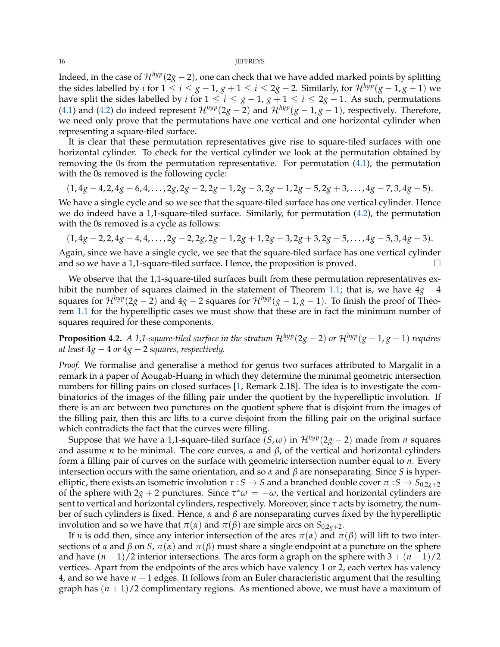#### 16 **JEFFREYS**

Indeed, in the case of  $\mathcal{H}^{hyp}(2g-2)$ , one can check that we have added marked points by splitting the sides labelled by *i* for  $1 \le i \le g - 1$ ,  $g + 1 \le i \le 2g - 2$ . Similarly, for  $\mathcal{H}^{hyp}(g - 1, g - 1)$  we have split the sides labelled by *i* for  $1 \le i \le g-1$ ,  $g+1 \le i \le 2g-1$ . As such, permutations [\(4.1\)](#page-14-1) and [\(4.2\)](#page-14-2) do indeed represent  $\mathcal{H}^{hyp}(2g - 2)$  and  $\mathcal{H}^{hyp}(g - 1, g - 1)$ , respectively. Therefore, we need only prove that the permutations have one vertical and one horizontal cylinder when representing a square-tiled surface.

It is clear that these permutation representatives give rise to square-tiled surfaces with one horizontal cylinder. To check for the vertical cylinder we look at the permutation obtained by removing the 0s from the permutation representative. For permutation  $(4.1)$ , the permutation with the 0s removed is the following cycle:

$$
(1,4g-4,2,4g-6,4,\ldots,2g,2g-2,2g-1,2g-3,2g+1,2g-5,2g+3,\ldots,4g-7,3,4g-5).
$$

We have a single cycle and so we see that the square-tiled surface has one vertical cylinder. Hence we do indeed have a 1,1-square-tiled surface. Similarly, for permutation  $(4.2)$ , the permutation with the 0s removed is a cycle as follows:

$$
(1,4g-2,2,4g-4,4,\ldots,2g-2,2g,2g-1,2g+1,2g-3,2g+3,2g-5,\ldots,4g-5,3,4g-3).
$$

Again, since we have a single cycle, we see that the square-tiled surface has one vertical cylinder and so we have a 1,1-square-tiled surface. Hence, the proposition is proved.

We observe that the 1,1-square-tiled surfaces built from these permutation representatives exhibit the number of squares claimed in the statement of Theorem [1.1;](#page-1-0) that is, we have 4*g* − 4 squares for  $\mathcal{H}^{hyp}(2g - 2)$  and  $4g - 2$  squares for  $\mathcal{H}^{hyp}(g - 1, g - 1)$ . To finish the proof of Theorem [1.1](#page-1-0) for the hyperelliptic cases we must show that these are in fact the minimum number of squares required for these components.

<span id="page-15-0"></span>**Proposition 4.2.** *A 1,1-square-tiled surface in the stratum*  $\mathcal{H}^{hyp}(2g-2)$  *or*  $\mathcal{H}^{hyp}(g-1,g-1)$  *requires at least* 4*g* − 4 *or* 4*g* − 2 *squares, respectively.*

*Proof.* We formalise and generalise a method for genus two surfaces attributed to Margalit in a remark in a paper of Aougab-Huang in which they determine the minimal geometric intersection numbers for filling pairs on closed surfaces [\[1,](#page-37-4) Remark 2.18]. The idea is to investigate the combinatorics of the images of the filling pair under the quotient by the hyperelliptic involution. If there is an arc between two punctures on the quotient sphere that is disjoint from the images of the filling pair, then this arc lifts to a curve disjoint from the filling pair on the original surface which contradicts the fact that the curves were filling.

Suppose that we have a 1,1-square-tiled surface  $(S, \omega)$  in  $\mathcal{H}^{hyp}(2g - 2)$  made from *n* squares and assume *n* to be minimal. The core curves, *α* and *β*, of the vertical and horizontal cylinders form a filling pair of curves on the surface with geometric intersection number equal to *n*. Every intersection occurs with the same orientation, and so *α* and *β* are nonseparating. Since *S* is hyperelliptic, there exists an isometric involution  $\tau : S \to S$  and a branched double cover  $\pi : S \to S_{0,2g+2}$ of the sphere with  $2g + 2$  punctures. Since  $\tau^* \omega = -\omega$ , the vertical and horizontal cylinders are sent to vertical and horizontal cylinders, respectively. Moreover, since *τ* acts by isometry, the number of such cylinders is fixed. Hence, *α* and *β* are nonseparating curves fixed by the hyperelliptic involution and so we have that  $π(α)$  and  $π(β)$  are simple arcs on  $S_{0,2g+2}$ .

If *n* is odd then, since any interior intersection of the arcs  $\pi(\alpha)$  and  $\pi(\beta)$  will lift to two intersections of *α* and *β* on *S*, *π*(*α*) and *π*(*β*) must share a single endpoint at a puncture on the sphere and have  $(n - 1)/2$  interior intersections. The arcs form a graph on the sphere with  $3 + (n - 1)/2$ vertices. Apart from the endpoints of the arcs which have valency 1 or 2, each vertex has valency 4, and so we have *n* + 1 edges. It follows from an Euler characteristic argument that the resulting graph has  $(n+1)/2$  complimentary regions. As mentioned above, we must have a maximum of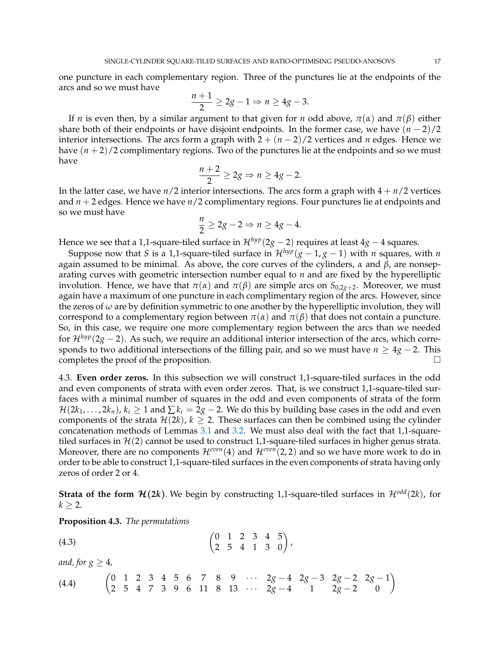one puncture in each complementary region. Three of the punctures lie at the endpoints of the arcs and so we must have

$$
\frac{n+1}{2} \ge 2g - 1 \Rightarrow n \ge 4g - 3.
$$

If *n* is even then, by a similar argument to that given for *n* odd above, *π*(*α*) and *π*(*β*) either share both of their endpoints or have disjoint endpoints. In the former case, we have  $(n - 2)/2$ interior intersections. The arcs form a graph with  $2 + (n-2)/2$  vertices and *n* edges. Hence we have  $(n+2)/2$  complimentary regions. Two of the punctures lie at the endpoints and so we must have

$$
\frac{n+2}{2}\geq 2g\Rightarrow n\geq 4g-2.
$$

In the latter case, we have  $n/2$  interior intersections. The arcs form a graph with  $4 + n/2$  vertices and *n* + 2 edges. Hence we have *n*/2 complimentary regions. Four punctures lie at endpoints and so we must have

$$
\frac{n}{2} \ge 2g - 2 \Rightarrow n \ge 4g - 4.
$$

Hence we see that a 1,1-square-tiled surface in  $\mathcal{H}^{hyp}(2g-2)$  requires at least  $4g-4$  squares.

Suppose now that *S* is a 1,1-square-tiled surface in  $\mathcal{H}^{hyp}(g-1,g-1)$  with *n* squares, with *n* again assumed to be minimal. As above, the core curves of the cylinders, *α* and *β*, are nonseparating curves with geometric intersection number equal to *n* and are fixed by the hyperelliptic involution. Hence, we have that  $π(α)$  and  $π(β)$  are simple arcs on  $S_{0,2*g*+2}$ . Moreover, we must again have a maximum of one puncture in each complimentary region of the arcs. However, since the zeros of *ω* are by definition symmetric to one another by the hyperelliptic involution, they will correspond to a complementary region between  $π(α)$  and  $π(β)$  that does not contain a puncture. So, in this case, we require one more complementary region between the arcs than we needed for  $\mathcal{H}^{hyp}(2g-2)$ . As such, we require an additional interior intersection of the arcs, which corresponds to two additional intersections of the filling pair, and so we must have  $n \geq 4g - 2$ . This completes the proof of the proposition.

<span id="page-16-0"></span>4.3. **Even order zeros.** In this subsection we will construct 1,1-square-tiled surfaces in the odd and even components of strata with even order zeros. That, is we construct 1,1-square-tiled surfaces with a minimal number of squares in the odd and even components of strata of the form  $\mathcal{H}(2k_1,\ldots,2k_n)$ ,  $k_i \geq 1$  and  $\sum k_i = 2g-2$ . We do this by building base cases in the odd and even components of the strata  $\mathcal{H}(2k)$ ,  $k \geq 2$ . These surfaces can then be combined using the cylinder concatenation methods of Lemmas [3.1](#page-12-0) and [3.2.](#page-13-1) We must also deal with the fact that 1,1-squaretiled surfaces in  $\mathcal{H}(2)$  cannot be used to construct 1,1-square-tiled surfaces in higher genus strata. Moreover, there are no components  $\mathcal{H}^{even}(4)$  and  $\mathcal{H}^{even}(2, 2)$  and so we have more work to do in order to be able to construct 1,1-square-tiled surfaces in the even components of strata having only zeros of order 2 or 4.

**Strata of the form**  $\mathcal{H}(2k)$ **.** We begin by constructing 1,1-square-tiled surfaces in  $\mathcal{H}^{odd}(2k)$ , for  $k \geq 2$ .

<span id="page-16-3"></span>**Proposition 4.3.** *The permutations*

<span id="page-16-1"></span>
$$
(4.3) \qquad \qquad \begin{pmatrix} 0 & 1 & 2 & 3 & 4 & 5 \\ 2 & 5 & 4 & 1 & 3 & 0 \end{pmatrix},
$$

*and, for*  $g \geq 4$ *,* 

<span id="page-16-2"></span>
$$
(4.4) \qquad \begin{pmatrix} 0 & 1 & 2 & 3 & 4 & 5 & 6 & 7 & 8 & 9 & \cdots & 2g-4 & 2g-3 & 2g-2 & 2g-1 \\ 2 & 5 & 4 & 7 & 3 & 9 & 6 & 11 & 8 & 13 & \cdots & 2g-4 & 1 & 2g-2 & 0 \end{pmatrix}
$$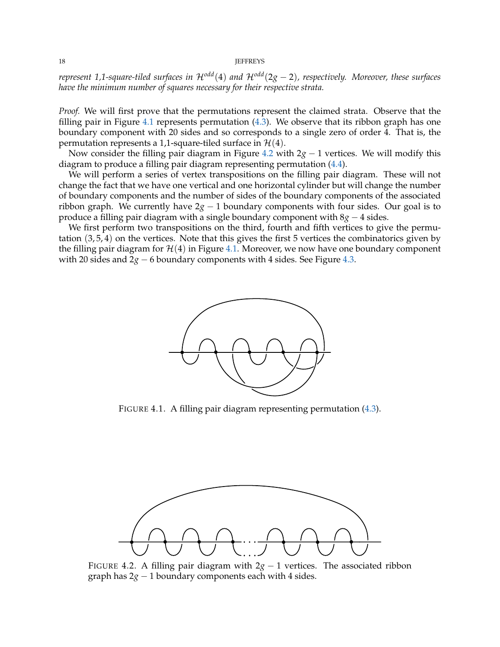*represent 1,1-square-tiled surfaces in* H*odd*(4) *and* H*odd*(2*g* − 2)*, respectively. Moreover, these surfaces have the minimum number of squares necessary for their respective strata.*

*Proof.* We will first prove that the permutations represent the claimed strata. Observe that the filling pair in Figure [4.1](#page-17-0) represents permutation [\(4.3\)](#page-16-1). We observe that its ribbon graph has one boundary component with 20 sides and so corresponds to a single zero of order 4. That is, the permutation represents a 1,1-square-tiled surface in  $\mathcal{H}(4)$ .

Now consider the filling pair diagram in Figure [4.2](#page-17-1) with 2*g* − 1 vertices. We will modify this diagram to produce a filling pair diagram representing permutation [\(4.4\)](#page-16-2).

We will perform a series of vertex transpositions on the filling pair diagram. These will not change the fact that we have one vertical and one horizontal cylinder but will change the number of boundary components and the number of sides of the boundary components of the associated ribbon graph. We currently have  $2g - 1$  boundary components with four sides. Our goal is to produce a filling pair diagram with a single boundary component with 8*g* − 4 sides.

<span id="page-17-0"></span>We first perform two transpositions on the third, fourth and fifth vertices to give the permutation (3, 5, 4) on the vertices. Note that this gives the first 5 vertices the combinatorics given by the filling pair diagram for  $\mathcal{H}(4)$  in Figure [4.1.](#page-17-0) Moreover, we now have one boundary component with 20 sides and 2*g* − 6 boundary components with 4 sides. See Figure [4.3.](#page-18-0)



FIGURE 4.1. A filling pair diagram representing permutation [\(4.3\)](#page-16-1).

<span id="page-17-1"></span>

FIGURE 4.2. A filling pair diagram with  $2g - 1$  vertices. The associated ribbon graph has  $2g - 1$  boundary components each with 4 sides.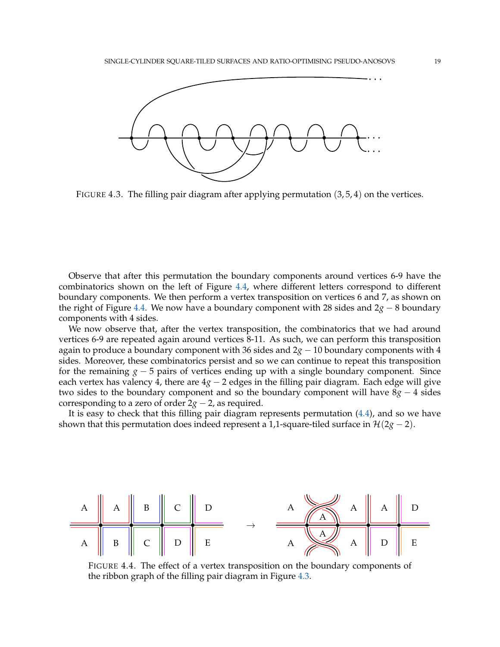<span id="page-18-0"></span>

FIGURE 4.3. The filling pair diagram after applying permutation  $(3, 5, 4)$  on the vertices.

Observe that after this permutation the boundary components around vertices 6-9 have the combinatorics shown on the left of Figure [4.4,](#page-18-1) where different letters correspond to different boundary components. We then perform a vertex transposition on vertices 6 and 7, as shown on the right of Figure [4.4.](#page-18-1) We now have a boundary component with 28 sides and 2*g* − 8 boundary components with 4 sides.

We now observe that, after the vertex transposition, the combinatorics that we had around vertices 6-9 are repeated again around vertices 8-11. As such, we can perform this transposition again to produce a boundary component with 36 sides and 2 *boundary components with 4* sides. Moreover, these combinatorics persist and so we can continue to repeat this transposition for the remaining *g* − 5 pairs of vertices ending up with a single boundary component. Since each vertex has valency 4, there are  $4g - 2$  edges in the filling pair diagram. Each edge will give two sides to the boundary component and so the boundary component will have 8*g* − 4 sides corresponding to a zero of order  $2g - 2$ , as required.

It is easy to check that this filling pair diagram represents permutation [\(4.4\)](#page-16-2), and so we have shown that this permutation does indeed represent a 1,1-square-tiled surface in  $\mathcal{H}(2g - 2)$ .

<span id="page-18-1"></span>

FIGURE 4.4. The effect of a vertex transposition on the boundary components of the ribbon graph of the filling pair diagram in Figure [4.3.](#page-18-0)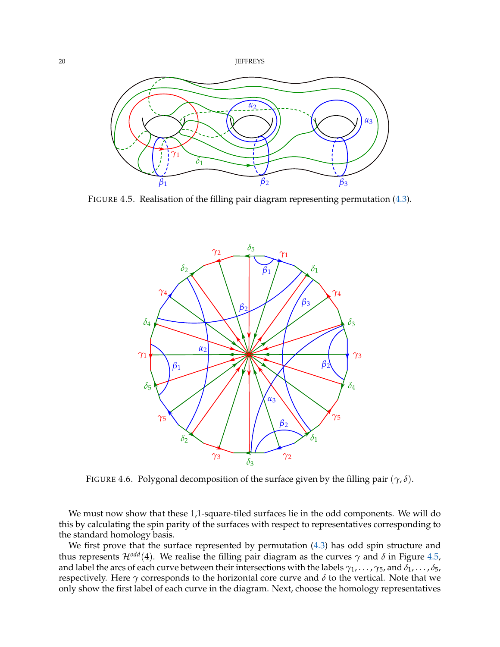<span id="page-19-0"></span>



<span id="page-19-1"></span>FIGURE 4.5. Realisation of the filling pair diagram representing permutation [\(4.3\)](#page-16-1).



FIGURE 4.6. Polygonal decomposition of the surface given by the filling pair (*γ*, *δ*).

We must now show that these 1,1-square-tiled surfaces lie in the odd components. We will do this by calculating the spin parity of the surfaces with respect to representatives corresponding to the standard homology basis.

We first prove that the surface represented by permutation [\(4.3\)](#page-16-1) has odd spin structure and thus represents  $\mathcal{H}^{odd}(4)$ . We realise the filling pair diagram as the curves  $\gamma$  and  $\delta$  in Figure [4.5,](#page-19-0) and label the arcs of each curve between their intersections with the labels *γ*1, . . . , *γ*5, and *δ*1, . . . , *δ*5, respectively. Here *γ* corresponds to the horizontal core curve and *δ* to the vertical. Note that we only show the first label of each curve in the diagram. Next, choose the homology representatives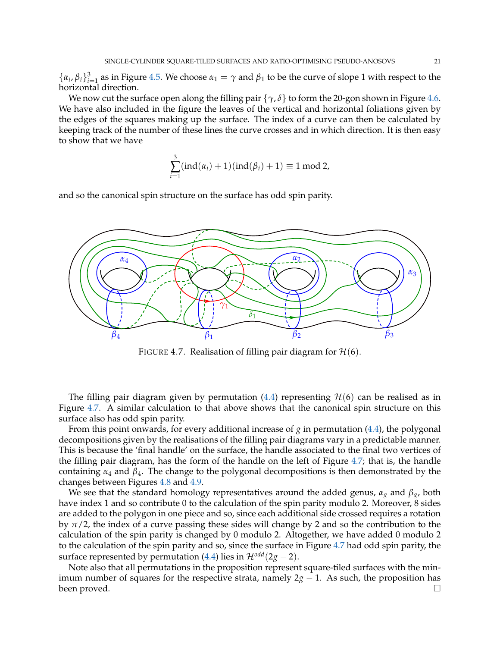$\{\alpha_i, \beta_i\}_{i=1}^3$  as in Figure [4.5.](#page-19-0) We choose  $\alpha_1 = \gamma$  and  $\beta_1$  to be the curve of slope 1 with respect to the horizontal direction.

We now cut the surface open along the filling pair  $\{\gamma, \delta\}$  to form the 20-gon shown in Figure [4.6.](#page-19-1) We have also included in the figure the leaves of the vertical and horizontal foliations given by the edges of the squares making up the surface. The index of a curve can then be calculated by keeping track of the number of these lines the curve crosses and in which direction. It is then easy to show that we have

$$
\sum_{i=1}^3 (ind(\alpha_i)+1)(ind(\beta_i)+1) \equiv 1 \mod 2,
$$

and so the canonical spin structure on the surface has odd spin parity.

<span id="page-20-0"></span>

FIGURE 4.7. Realisation of filling pair diagram for  $\mathcal{H}(6)$ .

The filling pair diagram given by permutation [\(4.4\)](#page-16-2) representing  $H(6)$  can be realised as in Figure [4.7.](#page-20-0) A similar calculation to that above shows that the canonical spin structure on this surface also has odd spin parity.

From this point onwards, for every additional increase of *g* in permutation [\(4.4\)](#page-16-2), the polygonal decompositions given by the realisations of the filling pair diagrams vary in a predictable manner. This is because the 'final handle' on the surface, the handle associated to the final two vertices of the filling pair diagram, has the form of the handle on the left of Figure [4.7;](#page-20-0) that is, the handle containing *α*<sup>4</sup> and *β*4. The change to the polygonal decompositions is then demonstrated by the changes between Figures [4.8](#page-21-0) and [4.9.](#page-21-1)

We see that the standard homology representatives around the added genus, *α<sup>g</sup>* and *βg*, both have index 1 and so contribute 0 to the calculation of the spin parity modulo 2. Moreover, 8 sides are added to the polygon in one piece and so, since each additional side crossed requires a rotation by  $\pi/2$ , the index of a curve passing these sides will change by 2 and so the contribution to the calculation of the spin parity is changed by 0 modulo 2. Altogether, we have added 0 modulo 2 to the calculation of the spin parity and so, since the surface in Figure [4.7](#page-20-0) had odd spin parity, the surface represented by permutation [\(4.4\)](#page-16-2) lies in  $\mathcal{H}^{odd}(2g-2)$ .

Note also that all permutations in the proposition represent square-tiled surfaces with the minimum number of squares for the respective strata, namely  $2g - 1$ . As such, the proposition has been proved.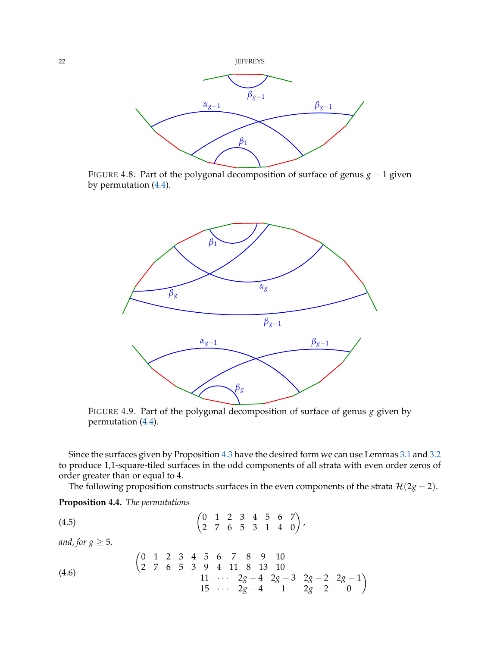<span id="page-21-0"></span>

<span id="page-21-1"></span>FIGURE 4.8. Part of the polygonal decomposition of surface of genus *g* − 1 given by permutation [\(4.4\)](#page-16-2).



FIGURE 4.9. Part of the polygonal decomposition of surface of genus *g* given by permutation [\(4.4\)](#page-16-2).

Since the surfaces given by Proposition [4.3](#page-16-3) have the desired form we can use Lemmas [3.1](#page-12-0) and [3.2](#page-13-1) to produce 1,1-square-tiled surfaces in the odd components of all strata with even order zeros of order greater than or equal to 4.

<span id="page-21-2"></span>The following proposition constructs surfaces in the even components of the strata  $\mathcal{H}(2g - 2)$ .

<span id="page-21-4"></span>**Proposition 4.4.** *The permutations*

$$
(4.5) \qquad \qquad \begin{pmatrix} 0 & 1 & 2 & 3 & 4 & 5 & 6 & 7 \\ 2 & 7 & 6 & 5 & 3 & 1 & 4 & 0 \end{pmatrix},
$$

*and, for*  $g \geq 5$ *,* 

<span id="page-21-3"></span>(4.6) 
$$
\begin{pmatrix}\n0 & 1 & 2 & 3 & 4 & 5 & 6 & 7 & 8 & 9 & 10 \\
2 & 7 & 6 & 5 & 3 & 9 & 4 & 11 & 8 & 13 & 10 \\
 & & & & & & 11 & \cdots & 2g-4 & 2g-3 & 2g-2 & 2g-1 \\
 & & & & & 15 & \cdots & 2g-4 & 1 & 2g-2 & 0\n\end{pmatrix}
$$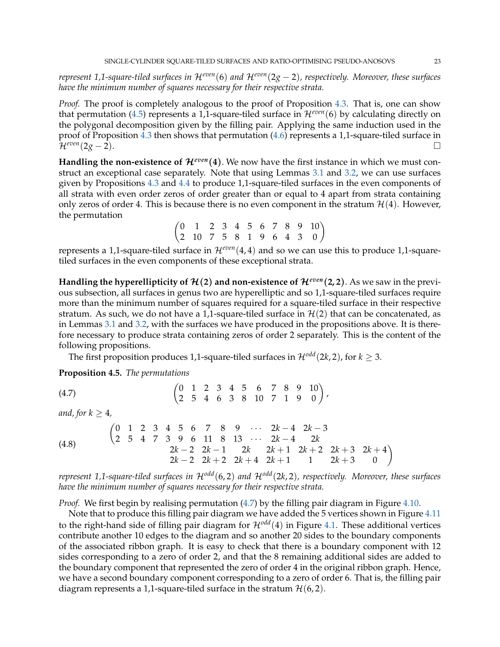*represent 1,1-square-tiled surfaces in* H*even*(6) *and* H*even*(2*g* − 2)*, respectively. Moreover, these surfaces have the minimum number of squares necessary for their respective strata.*

*Proof.* The proof is completely analogous to the proof of Proposition [4.3.](#page-16-3) That is, one can show that permutation [\(4.5\)](#page-21-2) represents a 1,1-square-tiled surface in  $\mathcal{H}^{even}(6)$  by calculating directly on the polygonal decomposition given by the filling pair. Applying the same induction used in the proof of Proposition [4.3](#page-16-3) then shows that permutation [\(4.6\)](#page-21-3) represents a 1,1-square-tiled surface in  $\mathcal{H}^{even}(2g-2).$ 

**Handling the non-existence of**  $\mathcal{H}^{even}(4)$ **. We now have the first instance in which we must con**struct an exceptional case separately. Note that using Lemmas [3.1](#page-12-0) and [3.2,](#page-13-1) we can use surfaces given by Propositions [4.3](#page-16-3) and [4.4](#page-21-4) to produce 1,1-square-tiled surfaces in the even components of all strata with even order zeros of order greater than or equal to 4 apart from strata containing only zeros of order 4. This is because there is no even component in the stratum  $\mathcal{H}(4)$ . However, the permutation

 $\begin{pmatrix} 0 & 1 & 2 & 3 & 4 & 5 & 6 & 7 & 8 & 9 & 10 \\ 2 & 10 & 7 & 5 & 8 & 1 & 9 & 6 & 4 & 3 & 0 \end{pmatrix}$ 

represents a 1,1-square-tiled surface in  $\mathcal{H}^{even}(4,4)$  and so we can use this to produce 1,1-squaretiled surfaces in the even components of these exceptional strata.

**Handling the hyperellipticity of**  $\mathcal{H}(2)$  **and non-existence of**  $\mathcal{H}^{even}(2,2)$ **. As we saw in the previ**ous subsection, all surfaces in genus two are hyperelliptic and so 1,1-square-tiled surfaces require more than the minimum number of squares required for a square-tiled surface in their respective stratum. As such, we do not have a 1,1-square-tiled surface in  $\mathcal{H}(2)$  that can be concatenated, as in Lemmas [3.1](#page-12-0) and [3.2,](#page-13-1) with the surfaces we have produced in the propositions above. It is therefore necessary to produce strata containing zeros of order 2 separately. This is the content of the following propositions.

,

<span id="page-22-0"></span>The first proposition produces 1,1-square-tiled surfaces in  $\mathcal{H}^{odd}(2k, 2)$ , for  $k \geq 3$ .

<span id="page-22-2"></span>**Proposition 4.5.** *The permutations*

$$
(4.7) \qquad \qquad \begin{pmatrix} 0 & 1 & 2 & 3 & 4 & 5 & 6 & 7 & 8 & 9 & 10 \\ 2 & 5 & 4 & 6 & 3 & 8 & 10 & 7 & 1 & 9 & 0 \end{pmatrix}
$$

*and, for*  $k > 4$ *,* 

<span id="page-22-1"></span>(4.8) 
$$
\begin{pmatrix} 0 & 1 & 2 & 3 & 4 & 5 & 6 & 7 & 8 & 9 & \cdots & 2k-4 & 2k-3 \\ 2 & 5 & 4 & 7 & 3 & 9 & 6 & 11 & 8 & 13 & \cdots & 2k-4 & 2k \\ 2k-2 & 2k-1 & 2k & 2k+1 & 2k+2 & 2k+3 & 2k+4 \\ 2k-2 & 2k+2 & 2k+4 & 2k+1 & 1 & 2k+3 & 0 \end{pmatrix}
$$

*represent 1,1-square-tiled surfaces in* H*odd*(6, 2) *and* H*odd*(2*k*, 2)*, respectively. Moreover, these surfaces have the minimum number of squares necessary for their respective strata.*

*Proof.* We first begin by realising permutation [\(4.7\)](#page-22-0) by the filling pair diagram in Figure [4.10.](#page-23-0)

Note that to produce this filling pair diagram we have added the 5 vertices shown in Figure [4.11](#page-23-1) to the right-hand side of filling pair diagram for  $\mathcal{H}^{odd}(4)$  in Figure [4.1.](#page-17-0) These additional vertices contribute another 10 edges to the diagram and so another 20 sides to the boundary components of the associated ribbon graph. It is easy to check that there is a boundary component with 12 sides corresponding to a zero of order 2, and that the 8 remaining additional sides are added to the boundary component that represented the zero of order 4 in the original ribbon graph. Hence, we have a second boundary component corresponding to a zero of order 6. That is, the filling pair diagram represents a 1,1-square-tiled surface in the stratum  $\mathcal{H}(6, 2)$ .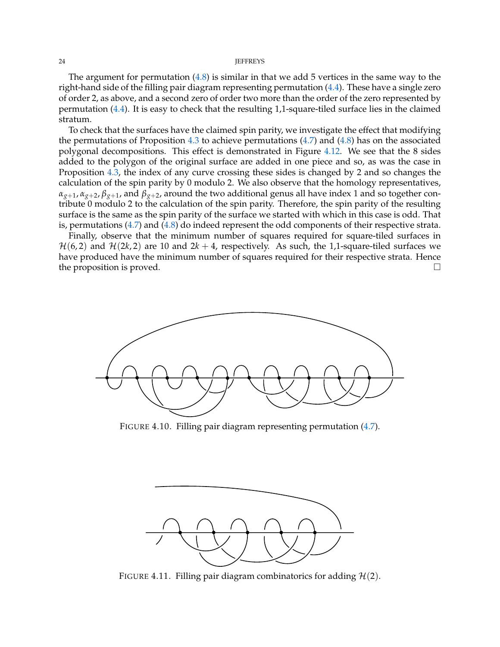The argument for permutation  $(4.8)$  is similar in that we add 5 vertices in the same way to the right-hand side of the filling pair diagram representing permutation [\(4.4\)](#page-16-2). These have a single zero of order 2, as above, and a second zero of order two more than the order of the zero represented by permutation [\(4.4\)](#page-16-2). It is easy to check that the resulting 1,1-square-tiled surface lies in the claimed stratum.

To check that the surfaces have the claimed spin parity, we investigate the effect that modifying the permutations of Proposition [4.3](#page-16-3) to achieve permutations [\(4.7\)](#page-22-0) and [\(4.8\)](#page-22-1) has on the associated polygonal decompositions. This effect is demonstrated in Figure [4.12.](#page-24-0) We see that the 8 sides added to the polygon of the original surface are added in one piece and so, as was the case in Proposition [4.3,](#page-16-3) the index of any curve crossing these sides is changed by 2 and so changes the calculation of the spin parity by 0 modulo 2. We also observe that the homology representatives,  $\alpha_{g+1}, \alpha_{g+2}, \beta_{g+1}$ , and  $\beta_{g+2}$ , around the two additional genus all have index 1 and so together contribute 0 modulo 2 to the calculation of the spin parity. Therefore, the spin parity of the resulting surface is the same as the spin parity of the surface we started with which in this case is odd. That is, permutations [\(4.7\)](#page-22-0) and [\(4.8\)](#page-22-1) do indeed represent the odd components of their respective strata.

Finally, observe that the minimum number of squares required for square-tiled surfaces in  $H(6, 2)$  and  $H(2k, 2)$  are 10 and  $2k + 4$ , respectively. As such, the 1,1-square-tiled surfaces we have produced have the minimum number of squares required for their respective strata. Hence the proposition is proved.

<span id="page-23-0"></span>

FIGURE 4.10. Filling pair diagram representing permutation [\(4.7\)](#page-22-0).

<span id="page-23-1"></span>

FIGURE 4.11. Filling pair diagram combinatorics for adding  $H(2)$ .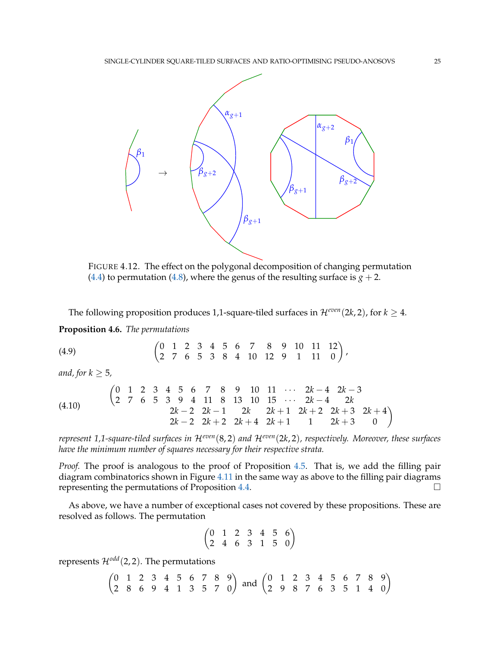<span id="page-24-0"></span>

FIGURE 4.12. The effect on the polygonal decomposition of changing permutation [\(4.4\)](#page-16-2) to permutation [\(4.8\)](#page-22-1), where the genus of the resulting surface is  $g + 2$ .

The following proposition produces 1,1-square-tiled surfaces in  $\mathcal{H}^{even}(2k, 2)$ , for  $k \geq 4$ .

<span id="page-24-1"></span>**Proposition 4.6.** *The permutations*

$$
(4.9) \qquad \qquad \begin{pmatrix} 0 & 1 & 2 & 3 & 4 & 5 & 6 & 7 & 8 & 9 & 10 & 11 & 12 \\ 2 & 7 & 6 & 5 & 3 & 8 & 4 & 10 & 12 & 9 & 1 & 11 & 0 \end{pmatrix},
$$

*and, for k* ≥ 5*,*

$$
\begin{array}{cccccccccccc}\n(4.10) & & \begin{pmatrix} 0 & 1 & 2 & 3 & 4 & 5 & 6 & 7 & 8 & 9 & 10 & 11 & \cdots & 2k-4 & 2k-3 \\ 2 & 7 & 6 & 5 & 3 & 9 & 4 & 11 & 8 & 13 & 10 & 15 & \cdots & 2k-4 & 2k \\ & & & 2k-2 & 2k-1 & 2k & 2k+1 & 2k+2 & 2k+3 & 2k+4 \\ & & & 2k-2 & 2k+2 & 2k+4 & 2k+1 & 1 & 2k+3 & 0 \end{pmatrix}\n\end{array}
$$

*represent 1,1-square-tiled surfaces in* H*even*(8, 2) *and* H*even*(2*k*, 2)*, respectively. Moreover, these surfaces have the minimum number of squares necessary for their respective strata.*

*Proof.* The proof is analogous to the proof of Proposition [4.5.](#page-22-2) That is, we add the filling pair diagram combinatorics shown in Figure [4.11](#page-23-1) in the same way as above to the filling pair diagrams representing the permutations of Proposition [4.4.](#page-21-4)

As above, we have a number of exceptional cases not covered by these propositions. These are resolved as follows. The permutation

$$
\begin{pmatrix}\n0 & 1 & 2 & 3 & 4 & 5 & 6 \\
2 & 4 & 6 & 3 & 1 & 5 & 0\n\end{pmatrix}
$$

represents  $\mathcal{H}^{odd}(2, 2)$ . The permutations

$$
\begin{pmatrix}\n0 & 1 & 2 & 3 & 4 & 5 & 6 & 7 & 8 & 9 \\
2 & 8 & 6 & 9 & 4 & 1 & 3 & 5 & 7 & 0\n\end{pmatrix}
$$
 and 
$$
\begin{pmatrix}\n0 & 1 & 2 & 3 & 4 & 5 & 6 & 7 & 8 & 9 \\
2 & 9 & 8 & 7 & 6 & 3 & 5 & 1 & 4 & 0\n\end{pmatrix}
$$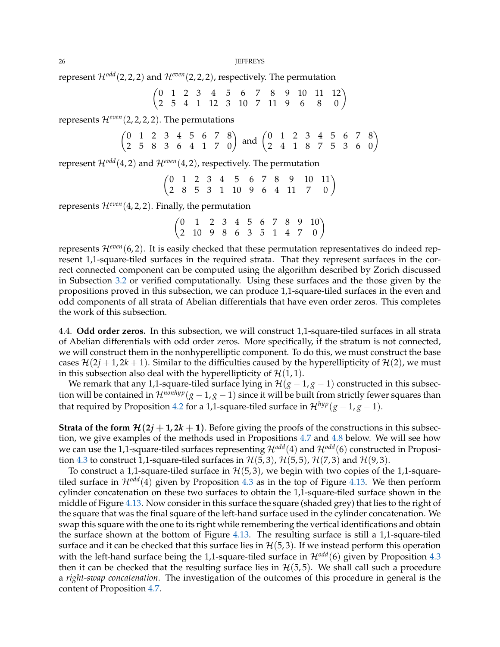represent  $\mathcal{H}^{odd}(2, 2, 2)$  and  $\mathcal{H}^{even}(2, 2, 2)$ , respectively. The permutation

$$
\begin{pmatrix}\n0 & 1 & 2 & 3 & 4 & 5 & 6 & 7 & 8 & 9 & 10 & 11 & 12 \\
2 & 5 & 4 & 1 & 12 & 3 & 10 & 7 & 11 & 9 & 6 & 8 & 0\n\end{pmatrix}
$$

represents  $\mathcal{H}^{even}(2,2,2,2)$ . The permutations

$$
\begin{pmatrix}\n0 & 1 & 2 & 3 & 4 & 5 & 6 & 7 & 8 \\
2 & 5 & 8 & 3 & 6 & 4 & 1 & 7 & 0\n\end{pmatrix}
$$
 and 
$$
\begin{pmatrix}\n0 & 1 & 2 & 3 & 4 & 5 & 6 & 7 & 8 \\
2 & 4 & 1 & 8 & 7 & 5 & 3 & 6 & 0\n\end{pmatrix}
$$

represent  $\mathcal{H}^{odd}(4, 2)$  and  $\mathcal{H}^{even}(4, 2)$ , respectively. The permutation

 $\begin{pmatrix} 0 & 1 & 2 & 3 & 4 & 5 & 6 & 7 & 8 & 9 & 10 & 11 \\ 2 & 8 & 5 & 3 & 1 & 10 & 9 & 6 & 4 & 11 & 7 & 0 \end{pmatrix}$ 

represents  $\mathcal{H}^{even}(4,2,2)$ . Finally, the permutation

 $\begin{pmatrix} 0 & 1 & 2 & 3 & 4 & 5 & 6 & 7 & 8 & 9 & 10 \\ 2 & 10 & 9 & 8 & 6 & 3 & 5 & 1 & 4 & 7 & 0 \end{pmatrix}$ 

represents  $\mathcal{H}^{even}(6, 2)$ . It is easily checked that these permutation representatives do indeed represent 1,1-square-tiled surfaces in the required strata. That they represent surfaces in the correct connected component can be computed using the algorithm described by Zorich discussed in Subsection [3.2](#page-8-2) or verified computationally. Using these surfaces and the those given by the propositions proved in this subsection, we can produce 1,1-square-tiled surfaces in the even and odd components of all strata of Abelian differentials that have even order zeros. This completes the work of this subsection.

<span id="page-25-0"></span>4.4. **Odd order zeros.** In this subsection, we will construct 1,1-square-tiled surfaces in all strata of Abelian differentials with odd order zeros. More specifically, if the stratum is not connected, we will construct them in the nonhyperelliptic component. To do this, we must construct the base cases  $\mathcal{H}(2j+1, 2k+1)$ . Similar to the difficulties caused by the hyperellipticity of  $\mathcal{H}(2)$ , we must in this subsection also deal with the hyperellipticity of  $\mathcal{H}(1, 1)$ .

We remark that any 1,1-square-tiled surface lying in  $\mathcal{H}(g-1,g-1)$  constructed in this subsection will be contained in  $\mathcal{H}^{nonhyp}(g-1,g-1)$  since it will be built from strictly fewer squares than that required by Proposition [4.2](#page-15-0) for a 1,1-square-tiled surface in  $\mathcal{H}^{hyp}(g-1,g-1)$ .

**Strata of the form**  $\mathcal{H}(2j + 1, 2k + 1)$ **. Before giving the proofs of the constructions in this subsec**tion, we give examples of the methods used in Propositions [4.7](#page-26-0) and [4.8](#page-28-0) below. We will see how we can use the 1,1-square-tiled surfaces representing  $\mathcal{H}^{odd}(4)$  and  $\mathcal{H}^{odd}(6)$  constructed in Proposi-tion [4.3](#page-16-3) to construct 1,1-square-tiled surfaces in  $\mathcal{H}(5,3)$ ,  $\mathcal{H}(5,5)$ ,  $\mathcal{H}(7,3)$  and  $\mathcal{H}(9,3)$ .

To construct a 1,1-square-tiled surface in  $H(5, 3)$ , we begin with two copies of the 1,1-squaretiled surface in  $\mathcal{H}^{odd}(4)$  given by Proposition [4.3](#page-16-3) as in the top of Figure [4.13.](#page-26-1) We then perform cylinder concatenation on these two surfaces to obtain the 1,1-square-tiled surface shown in the middle of Figure [4.13.](#page-26-1) Now consider in this surface the square (shaded grey) that lies to the right of the square that was the final square of the left-hand surface used in the cylinder concatenation. We swap this square with the one to its right while remembering the vertical identifications and obtain the surface shown at the bottom of Figure [4.13.](#page-26-1) The resulting surface is still a 1,1-square-tiled surface and it can be checked that this surface lies in  $\mathcal{H}(5,3)$ . If we instead perform this operation with the left-hand surface being the 1,1-square-tiled surface in  $\mathcal{H}^{odd}(6)$  given by Proposition [4.3](#page-16-3) then it can be checked that the resulting surface lies in  $\mathcal{H}(5,5)$ . We shall call such a procedure a *right-swap concatenation*. The investigation of the outcomes of this procedure in general is the content of Proposition [4.7.](#page-26-0)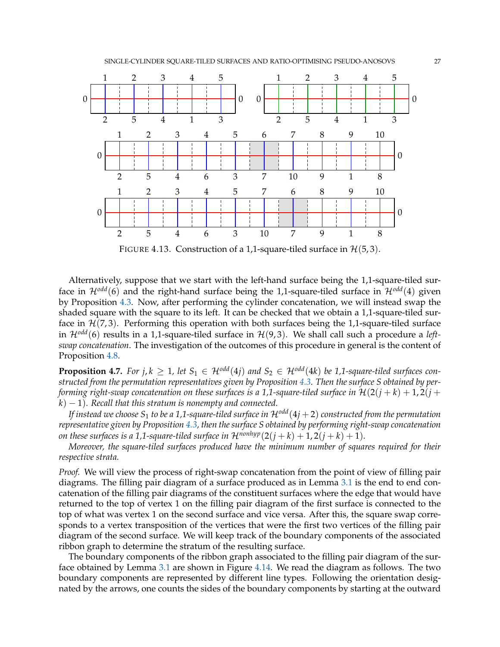<span id="page-26-1"></span>

FIGURE 4.13. Construction of a 1,1-square-tiled surface in  $\mathcal{H}(5,3)$ .

Alternatively, suppose that we start with the left-hand surface being the 1,1-square-tiled surface in  $\mathcal{H}^{odd}(6)$  and the right-hand surface being the 1,1-square-tiled surface in  $\mathcal{H}^{odd}(4)$  given by Proposition [4.3.](#page-16-3) Now, after performing the cylinder concatenation, we will instead swap the shaded square with the square to its left. It can be checked that we obtain a 1,1-square-tiled surface in  $\mathcal{H}(7,3)$ . Performing this operation with both surfaces being the 1,1-square-tiled surface in H*odd*(6) results in a 1,1-square-tiled surface in H(9, 3). We shall call such a procedure a *leftswap concatenation*. The investigation of the outcomes of this procedure in general is the content of Proposition [4.8.](#page-28-0)

<span id="page-26-0"></span>**Proposition 4.7.** For  $j, k \geq 1$ , let  $S_1 \in \mathcal{H}^{odd}(4j)$  and  $S_2 \in \mathcal{H}^{odd}(4k)$  be 1,1-square-tiled surfaces con*structed from the permutation representatives given by Proposition [4.3.](#page-16-3) Then the surface S obtained by performing right-swap concatenation on these surfaces is a 1,1-square-tiled surface in*  $\mathcal{H}(2(i + k) + 1, 2(i + k))$  $k$ )  $-1$ ). Recall that this stratum is nonempty and connected.

*If instead we choose*  $S_1$  *to be a 1,1-square-tiled surface in*  $\mathcal{H}^{odd}(4j + 2)$  *constructed from the permutation representative given by Proposition [4.3,](#page-16-3) then the surface S obtained by performing right-swap concatenation on these surfaces is a 1,1-square-tiled surface in*  $\mathcal{H}^{nonhyp}(2(j+k)+1,2(j+k)+1)$ .

*Moreover, the square-tiled surfaces produced have the minimum number of squares required for their respective strata.*

*Proof.* We will view the process of right-swap concatenation from the point of view of filling pair diagrams. The filling pair diagram of a surface produced as in Lemma [3.1](#page-12-0) is the end to end concatenation of the filling pair diagrams of the constituent surfaces where the edge that would have returned to the top of vertex 1 on the filling pair diagram of the first surface is connected to the top of what was vertex 1 on the second surface and vice versa. After this, the square swap corresponds to a vertex transposition of the vertices that were the first two vertices of the filling pair diagram of the second surface. We will keep track of the boundary components of the associated ribbon graph to determine the stratum of the resulting surface.

The boundary components of the ribbon graph associated to the filling pair diagram of the surface obtained by Lemma [3.1](#page-12-0) are shown in Figure [4.14.](#page-27-0) We read the diagram as follows. The two boundary components are represented by different line types. Following the orientation designated by the arrows, one counts the sides of the boundary components by starting at the outward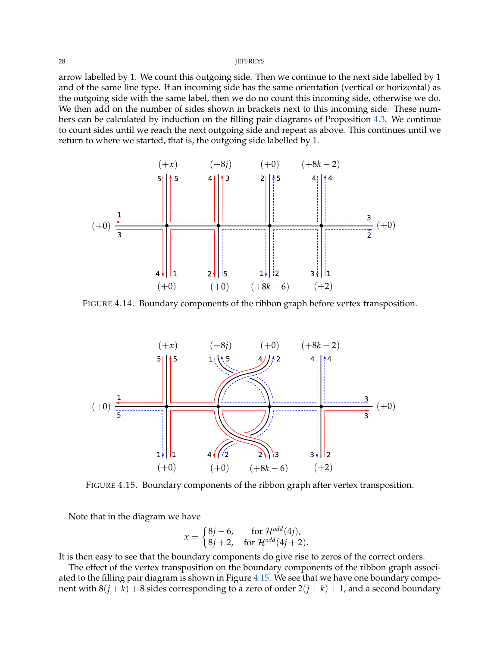arrow labelled by 1. We count this outgoing side. Then we continue to the next side labelled by 1 and of the same line type. If an incoming side has the same orientation (vertical or horizontal) as the outgoing side with the same label, then we do no count this incoming side, otherwise we do. We then add on the number of sides shown in brackets next to this incoming side. These numbers can be calculated by induction on the filling pair diagrams of Proposition [4.3.](#page-16-3) We continue to count sides until we reach the next outgoing side and repeat as above. This continues until we return to where we started, that is, the outgoing side labelled by 1.

<span id="page-27-0"></span>

FIGURE 4.14. Boundary components of the ribbon graph before vertex transposition.

<span id="page-27-1"></span>

FIGURE 4.15. Boundary components of the ribbon graph after vertex transposition.

Note that in the diagram we have

$$
x = \begin{cases} 8j - 6, & \text{for } \mathcal{H}^{odd}(4j), \\ 8j + 2, & \text{for } \mathcal{H}^{odd}(4j + 2). \end{cases}
$$

It is then easy to see that the boundary components do give rise to zeros of the correct orders.

The effect of the vertex transposition on the boundary components of the ribbon graph associated to the filling pair diagram is shown in Figure [4.15.](#page-27-1) We see that we have one boundary component with  $8(j + k) + 8$  sides corresponding to a zero of order  $2(j + k) + 1$ , and a second boundary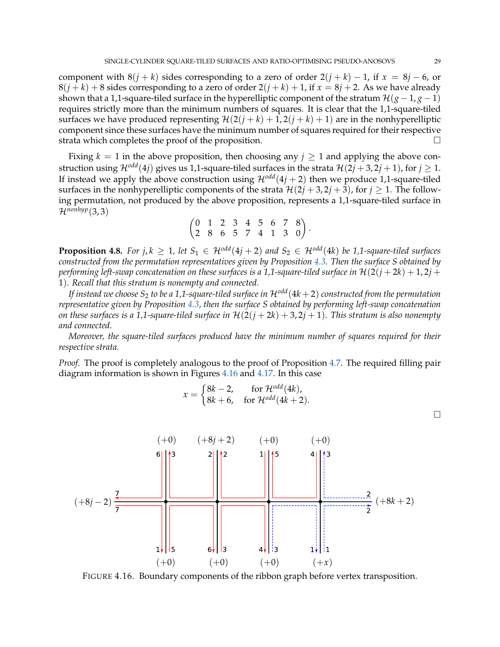component with  $8(j + k)$  sides corresponding to a zero of order  $2(j + k) - 1$ , if  $x = 8j - 6$ , or  $8(j+k) + 8$  sides corresponding to a zero of order  $2(j+k) + 1$ , if  $x = 8j + 2$ . As we have already shown that a 1,1-square-tiled surface in the hyperelliptic component of the stratum  $\mathcal{H}(g-1,g-1)$ requires strictly more than the minimum numbers of squares. It is clear that the 1,1-square-tiled surfaces we have produced representing  $\mathcal{H}(2(j + k) + 1, 2(j + k) + 1)$  are in the nonhyperelliptic component since these surfaces have the minimum number of squares required for their respective strata which completes the proof of the proposition.

Fixing  $k = 1$  in the above proposition, then choosing any  $j \ge 1$  and applying the above construction using  $\mathcal{H}^{odd}(4j)$  gives us 1,1-square-tiled surfaces in the strata  $\mathcal{H}(2j+3, 2j+1)$ , for  $j \ge 1$ . If instead we apply the above construction using  $\mathcal{H}^{odd}(4j + 2)$  then we produce 1,1-square-tiled surfaces in the nonhyperelliptic components of the strata  $\mathcal{H}(2j+3, 2j+3)$ , for  $j \geq 1$ . The following permutation, not produced by the above proposition, represents a 1,1-square-tiled surface in  $\mathcal{H}^{nonhyp}(3,3)$ 

$$
\begin{pmatrix}\n0 & 1 & 2 & 3 & 4 & 5 & 6 & 7 & 8 \\
2 & 8 & 6 & 5 & 7 & 4 & 1 & 3 & 0\n\end{pmatrix}.
$$

<span id="page-28-0"></span>**Proposition 4.8.** *For j, k*  $\geq$  1*, let*  $S_1 \in \mathcal{H}^{odd}(4j+2)$  *and*  $S_2 \in \mathcal{H}^{odd}(4k)$  *be* 1*,1-square-tiled surfaces constructed from the permutation representatives given by Proposition [4.3.](#page-16-3) Then the surface S obtained by performing left-swap concatenation on these surfaces is a 1,1-square-tiled surface in*  $\mathcal{H}(2(j + 2k) + 1, 2j + 1)$ 1)*. Recall that this stratum is nonempty and connected.*

*If instead we choose*  $S_2$  *to be a 1,1-square-tiled surface in*  $\mathcal{H}^{odd}(4k+2)$  *constructed from the permutation representative given by Proposition [4.3,](#page-16-3) then the surface S obtained by performing left-swap concatenation on these surfaces is a 1,1-square-tiled surface in*  $H(2(j + 2k) + 3, 2j + 1)$ *. This stratum is also nonempty and connected.*

*Moreover, the square-tiled surfaces produced have the minimum number of squares required for their respective strata.*

*Proof.* The proof is completely analogous to the proof of Proposition [4.7.](#page-26-0) The required filling pair diagram information is shown in Figures [4.16](#page-28-1) and [4.17.](#page-29-0) In this case

$$
x = \begin{cases} 8k - 2, & \text{for } \mathcal{H}^{odd}(4k), \\ 8k + 6, & \text{for } \mathcal{H}^{odd}(4k + 2). \end{cases}
$$

<span id="page-28-1"></span> $(+0)$   $(+8j+2)$   $(+0)$   $(+0)$  $\frac{2}{3}(+8k+2)$  $(+8j - 2)$ lз İЗ  $\mathbf{1}$ 15 6 i1  $(+0)$   $(+0)$  $(+0)$  $(+x)$ 

FIGURE 4.16. Boundary components of the ribbon graph before vertex transposition.

 $\Box$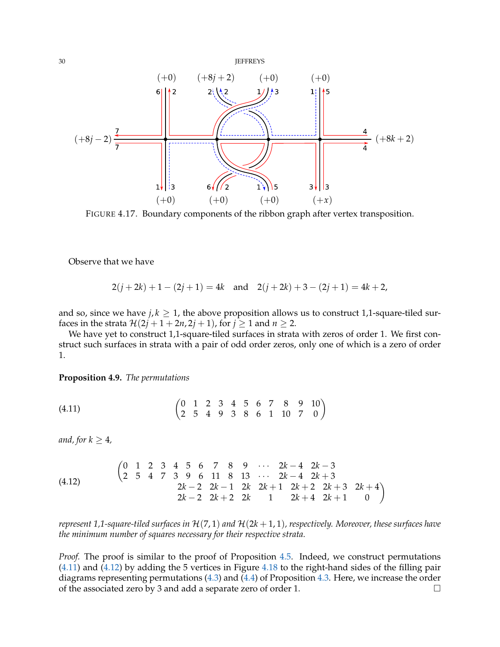<span id="page-29-0"></span>

FIGURE 4.17. Boundary components of the ribbon graph after vertex transposition.

Observe that we have

$$
2(j+2k) + 1 - (2j + 1) = 4k
$$
 and  $2(j+2k) + 3 - (2j + 1) = 4k + 2$ ,

and so, since we have  $j, k \geq 1$ , the above proposition allows us to construct 1,1-square-tiled surfaces in the strata  $\mathcal{H}(2j + 1 + 2n, 2j + 1)$ , for  $j \ge 1$  and  $n \ge 2$ .

We have yet to construct 1,1-square-tiled surfaces in strata with zeros of order 1. We first construct such surfaces in strata with a pair of odd order zeros, only one of which is a zero of order 1.

<span id="page-29-3"></span>**Proposition 4.9.** *The permutations*

<span id="page-29-1"></span>
$$
(4.11) \qquad \qquad \begin{pmatrix} 0 & 1 & 2 & 3 & 4 & 5 & 6 & 7 & 8 & 9 & 10 \\ 2 & 5 & 4 & 9 & 3 & 8 & 6 & 1 & 10 & 7 & 0 \end{pmatrix}
$$

*and, for*  $k \geq 4$ *,* 

<span id="page-29-2"></span>(4.12) 
$$
\begin{pmatrix} 0 & 1 & 2 & 3 & 4 & 5 & 6 & 7 & 8 & 9 & \cdots & 2k-4 & 2k-3 \\ 2 & 5 & 4 & 7 & 3 & 9 & 6 & 11 & 8 & 13 & \cdots & 2k-4 & 2k+3 \\ & & & & 2k-2 & 2k-1 & 2k & 2k+1 & 2k+2 & 2k+3 & 2k+4 \\ & & & & 2k-2 & 2k+2 & 2k & 1 & 2k+4 & 2k+1 & 0 \end{pmatrix}
$$

*represent 1,1-square-tiled surfaces in* H(7, 1) *and* H(2*k* + 1, 1)*, respectively. Moreover, these surfaces have the minimum number of squares necessary for their respective strata.*

*Proof.* The proof is similar to the proof of Proposition [4.5.](#page-22-2) Indeed, we construct permutations [\(4.11\)](#page-29-1) and [\(4.12\)](#page-29-2) by adding the 5 vertices in Figure [4.18](#page-30-0) to the right-hand sides of the filling pair diagrams representing permutations [\(4.3\)](#page-16-1) and [\(4.4\)](#page-16-2) of Proposition [4.3.](#page-16-3) Here, we increase the order of the associated zero by 3 and add a separate zero of order 1.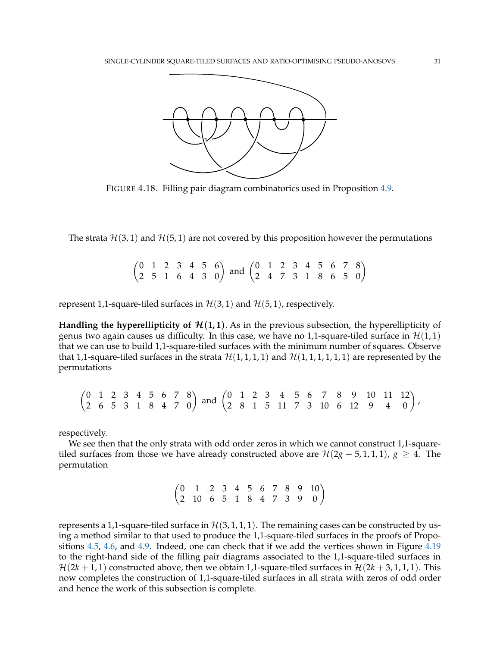<span id="page-30-0"></span>

FIGURE 4.18. Filling pair diagram combinatorics used in Proposition [4.9.](#page-29-3)

The strata  $\mathcal{H}(3,1)$  and  $\mathcal{H}(5,1)$  are not covered by this proposition however the permutations

 $\begin{pmatrix} 0 & 1 & 2 & 3 & 4 & 5 & 6 \\ 2 & 5 & 1 & 6 & 4 & 3 & 0 \end{pmatrix}$  and  $\begin{pmatrix} 0 & 1 & 2 & 3 & 4 & 5 & 6 & 7 & 8 \\ 2 & 4 & 7 & 3 & 1 & 8 & 6 & 5 & 0 \end{pmatrix}$ 

represent 1,1-square-tiled surfaces in  $\mathcal{H}(3,1)$  and  $\mathcal{H}(5,1)$ , respectively.

**Handling the hyperellipticity of**  $\mathcal{H}(1,1)$ **. As in the previous subsection, the hyperellipticity of** genus two again causes us difficulty. In this case, we have no 1,1-square-tiled surface in  $\mathcal{H}(1,1)$ that we can use to build 1,1-square-tiled surfaces with the minimum number of squares. Observe that 1,1-square-tiled surfaces in the strata  $\mathcal{H}(1,1,1,1)$  and  $\mathcal{H}(1,1,1,1,1,1)$  are represented by the permutations

 $\begin{pmatrix} 0 & 1 & 2 & 3 & 4 & 5 & 6 & 7 & 8 \\ 2 & 6 & 5 & 3 & 1 & 8 & 4 & 7 & 0 \end{pmatrix}$  and  $\begin{pmatrix} 0 & 1 & 2 & 3 & 4 & 5 & 6 & 7 & 8 & 9 & 10 & 11 & 12 \\ 2 & 8 & 1 & 5 & 11 & 7 & 3 & 10 & 6 & 12 & 9 & 4 & 0 \end{pmatrix}$ ,

respectively.

We see then that the only strata with odd order zeros in which we cannot construct 1,1-squaretiled surfaces from those we have already constructed above are  $\mathcal{H}(2g - 5, 1, 1, 1), g \geq 4$ . The permutation

 $\begin{pmatrix} 0 & 1 & 2 & 3 & 4 & 5 & 6 & 7 & 8 & 9 & 10 \\ 2 & 10 & 6 & 5 & 1 & 8 & 4 & 7 & 3 & 9 & 0 \end{pmatrix}$ 

represents a 1,1-square-tiled surface in  $\mathcal{H}(3,1,1,1)$ . The remaining cases can be constructed by using a method similar to that used to produce the 1,1-square-tiled surfaces in the proofs of Propositions [4.5,](#page-22-2) [4.6,](#page-24-1) and [4.9.](#page-29-3) Indeed, one can check that if we add the vertices shown in Figure [4.19](#page-31-2) to the right-hand side of the filling pair diagrams associated to the 1,1-square-tiled surfaces in  $\mathcal{H}(2k+1,1)$  constructed above, then we obtain 1,1-square-tiled surfaces in  $\mathcal{H}(2k+3,1,1,1)$ . This now completes the construction of 1,1-square-tiled surfaces in all strata with zeros of odd order and hence the work of this subsection is complete.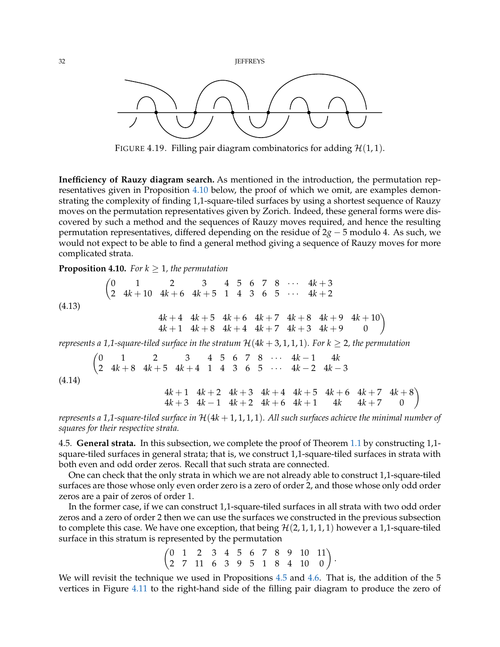<span id="page-31-2"></span>32 **JEFFREYS** 



FIGURE 4.19. Filling pair diagram combinatorics for adding  $H(1, 1)$ .

**Inefficiency of Rauzy diagram search.** As mentioned in the introduction, the permutation representatives given in Proposition [4.10](#page-31-0) below, the proof of which we omit, are examples demonstrating the complexity of finding 1,1-square-tiled surfaces by using a shortest sequence of Rauzy moves on the permutation representatives given by Zorich. Indeed, these general forms were discovered by such a method and the sequences of Rauzy moves required, and hence the resulting permutation representatives, differed depending on the residue of 2*g* − 5 modulo 4. As such, we would not expect to be able to find a general method giving a sequence of Rauzy moves for more complicated strata.

<span id="page-31-0"></span>**Proposition 4.10.** *For*  $k \geq 1$ *, the permutation* 

$$
\begin{pmatrix}\n0 & 1 & 2 & 3 & 4 & 5 & 6 & 7 & 8 & \cdots & 4k+3 \\
2 & 4k+10 & 4k+6 & 4k+5 & 1 & 4 & 3 & 6 & 5 & \cdots & 4k+2\n\end{pmatrix}
$$
\n
$$
\begin{pmatrix}\n0 & 1 & 2 & 3 & 4 & 5 & 6 & 7 & 8 & \cdots & 4k+3 \\
4k+1 & 4k+5 & 1 & 4k+6 & 4k+7 & 4k+8 & 4k+9 & 4k+10 \\
4k+1 & 4k+8 & 4k+4 & 4k+7 & 4k+3 & 4k+9 & 0\n\end{pmatrix}
$$

*represents a 1,1-square-tiled surface in the stratum*  $H(4k+3,1,1,1)$ *. For k*  $\geq 2$ *, the permutation* 

$$
\begin{pmatrix}\n0 & 1 & 2 & 3 & 4 & 5 & 6 & 7 & 8 & \cdots & 4k-1 & 4k \\
2 & 4k+8 & 4k+5 & 4k+4 & 1 & 4 & 3 & 6 & 5 & \cdots & 4k-2 & 4k-3\n\end{pmatrix}
$$
\n
$$
\begin{pmatrix}\n0 & 1 & 2 & 3 & 4 & 5 & 6 & 7 & 8 & \cdots & 4k-1 & 4k \\
4k+1 & 4k+2 & 4k+3 & 4k+4 & 4k+5 & 4k+6 & 4k+7 & 4k+8 \\
4k+3 & 4k-1 & 4k+2 & 4k+6 & 4k+1 & 4k & 4k+7 & 0\n\end{pmatrix}
$$

*represents a 1,1-square-tiled surface in* H(4*k* + 1, 1, 1, 1)*. All such surfaces achieve the minimal number of squares for their respective strata.*

<span id="page-31-1"></span>4.5. **General strata.** In this subsection, we complete the proof of Theorem [1.1](#page-1-0) by constructing 1,1 square-tiled surfaces in general strata; that is, we construct 1,1-square-tiled surfaces in strata with both even and odd order zeros. Recall that such strata are connected.

One can check that the only strata in which we are not already able to construct 1,1-square-tiled surfaces are those whose only even order zero is a zero of order 2, and those whose only odd order zeros are a pair of zeros of order 1.

In the former case, if we can construct 1,1-square-tiled surfaces in all strata with two odd order zeros and a zero of order 2 then we can use the surfaces we constructed in the previous subsection to complete this case. We have one exception, that being  $\mathcal{H}(2,1,1,1,1)$  however a 1,1-square-tiled surface in this stratum is represented by the permutation

 $\begin{pmatrix} 0 & 1 & 2 & 3 & 4 & 5 & 6 & 7 & 8 & 9 & 10 & 11 \\ 2 & 7 & 11 & 6 & 3 & 9 & 5 & 1 & 8 & 4 & 10 & 0 \end{pmatrix}$ .

We will revisit the technique we used in Propositions [4.5](#page-22-2) and [4.6.](#page-24-1) That is, the addition of the 5 vertices in Figure [4.11](#page-23-1) to the right-hand side of the filling pair diagram to produce the zero of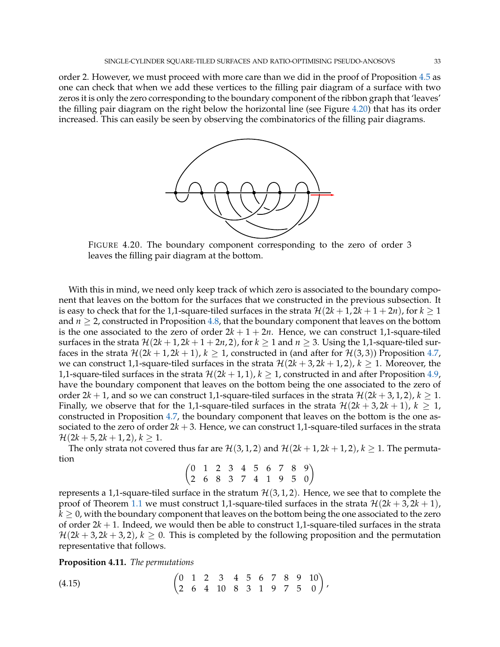<span id="page-32-0"></span>order 2. However, we must proceed with more care than we did in the proof of Proposition [4.5](#page-22-2) as one can check that when we add these vertices to the filling pair diagram of a surface with two zeros it is only the zero corresponding to the boundary component of the ribbon graph that 'leaves' the filling pair diagram on the right below the horizontal line (see Figure [4.20\)](#page-32-0) that has its order increased. This can easily be seen by observing the combinatorics of the filling pair diagrams.



FIGURE 4.20. The boundary component corresponding to the zero of order 3 leaves the filling pair diagram at the bottom.

With this in mind, we need only keep track of which zero is associated to the boundary component that leaves on the bottom for the surfaces that we constructed in the previous subsection. It is easy to check that for the 1,1-square-tiled surfaces in the strata  $\mathcal{H}(2k + 1, 2k + 1 + 2n)$ , for  $k \ge 1$ and  $n \geq 2$ , constructed in Proposition [4.8,](#page-28-0) that the boundary component that leaves on the bottom is the one associated to the zero of order  $2k + 1 + 2n$ . Hence, we can construct 1,1-square-tiled surfaces in the strata  $\mathcal{H}(2k+1, 2k+1+2n, 2)$ , for  $k \ge 1$  and  $n \ge 3$ . Using the 1,1-square-tiled surfaces in the strata  $\mathcal{H}(2k+1, 2k+1)$ ,  $k \geq 1$ , constructed in (and after for  $\mathcal{H}(3, 3)$ ) Proposition [4.7,](#page-26-0) we can construct 1,1-square-tiled surfaces in the strata  $\mathcal{H}(2k+3, 2k+1, 2)$ ,  $k \geq 1$ . Moreover, the 1,1-square-tiled surfaces in the strata  $\mathcal{H}(2k+1,1)$ ,  $k \geq 1$ , constructed in and after Proposition [4.9,](#page-29-3) have the boundary component that leaves on the bottom being the one associated to the zero of order  $2k + 1$ , and so we can construct 1,1-square-tiled surfaces in the strata  $\mathcal{H}(2k + 3, 1, 2)$ ,  $k \ge 1$ . Finally, we observe that for the 1,1-square-tiled surfaces in the strata  $\mathcal{H}(2k + 3, 2k + 1)$ ,  $k \geq 1$ , constructed in Proposition [4.7,](#page-26-0) the boundary component that leaves on the bottom is the one associated to the zero of order  $2k + 3$ . Hence, we can construct 1,1-square-tiled surfaces in the strata  $\mathcal{H}(2k+5, 2k+1, 2), k > 1.$ 

The only strata not covered thus far are  $\mathcal{H}(3, 1, 2)$  and  $\mathcal{H}(2k + 1, 2k + 1, 2)$ ,  $k \ge 1$ . The permutation

$$
\begin{pmatrix}\n0 & 1 & 2 & 3 & 4 & 5 & 6 & 7 & 8 & 9 \\
2 & 6 & 8 & 3 & 7 & 4 & 1 & 9 & 5 & 0\n\end{pmatrix}
$$

represents a 1,1-square-tiled surface in the stratum  $\mathcal{H}(3, 1, 2)$ . Hence, we see that to complete the proof of Theorem [1.1](#page-1-0) we must construct 1,1-square-tiled surfaces in the strata  $\mathcal{H}(2k + 3, 2k + 1)$ ,  $k \geq 0$ , with the boundary component that leaves on the bottom being the one associated to the zero of order 2*k* + 1. Indeed, we would then be able to construct 1,1-square-tiled surfaces in the strata  $H(2k+3, 2k+3, 2), k > 0$ . This is completed by the following proposition and the permutation representative that follows.

**Proposition 4.11.** *The permutations*

$$
(4.15) \qquad \qquad \begin{pmatrix} 0 & 1 & 2 & 3 & 4 & 5 & 6 & 7 & 8 & 9 & 10 \\ 2 & 6 & 4 & 10 & 8 & 3 & 1 & 9 & 7 & 5 & 0 \end{pmatrix},
$$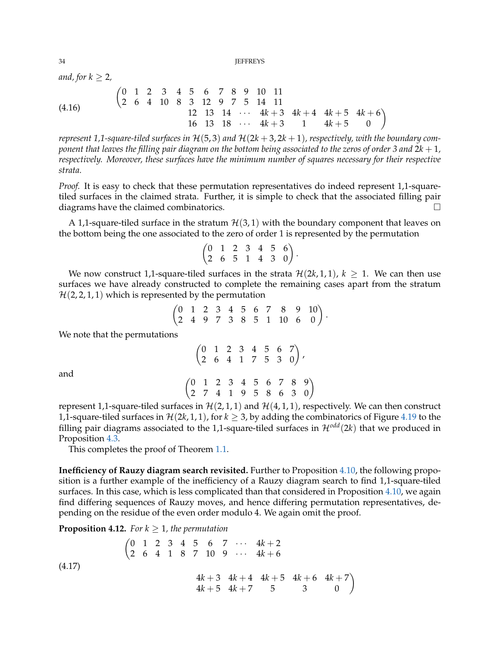*and, for*  $k \geq 2$ *,* 

$$
\begin{array}{cccccccccccc}\n(4.16) & & & \begin{pmatrix} 0 & 1 & 2 & 3 & 4 & 5 & 6 & 7 & 8 & 9 & 10 & 11 \\ 2 & 6 & 4 & 10 & 8 & 3 & 12 & 9 & 7 & 5 & 14 & 11 \\ & & & & & 12 & 13 & 14 & \cdots & 4k+3 & 4k+4 & 4k+5 & 4k+6 \\ & & & & 16 & 13 & 18 & \cdots & 4k+3 & 1 & 4k+5 & 0 \end{pmatrix}\n\end{array}
$$

*represent* 1,1-square-tiled surfaces in  $H(5,3)$  and  $H(2k+3,2k+1)$ , respectively, with the boundary com*ponent that leaves the filling pair diagram on the bottom being associated to the zeros of order 3 and* 2*k* + 1*, respectively. Moreover, these surfaces have the minimum number of squares necessary for their respective strata.*

*Proof.* It is easy to check that these permutation representatives do indeed represent 1,1-squaretiled surfaces in the claimed strata. Further, it is simple to check that the associated filling pair diagrams have the claimed combinatorics.  $\square$ 

A 1,1-square-tiled surface in the stratum  $\mathcal{H}(3,1)$  with the boundary component that leaves on the bottom being the one associated to the zero of order 1 is represented by the permutation

$$
\begin{pmatrix} 0 & 1 & 2 & 3 & 4 & 5 & 6 \\ 2 & 6 & 5 & 1 & 4 & 3 & 0 \end{pmatrix}.
$$

We now construct 1,1-square-tiled surfaces in the strata  $\mathcal{H}(2k, 1, 1)$ ,  $k \geq 1$ . We can then use surfaces we have already constructed to complete the remaining cases apart from the stratum  $H(2, 2, 1, 1)$  which is represented by the permutation

$$
\begin{pmatrix}\n0 & 1 & 2 & 3 & 4 & 5 & 6 & 7 & 8 & 9 & 10 \\
2 & 4 & 9 & 7 & 3 & 8 & 5 & 1 & 10 & 6 & 0\n\end{pmatrix}.
$$

We note that the permutations

|                                                                                                                |  |  |  | $\begin{pmatrix} 0 & 1 & 2 & 3 & 4 & 5 & 6 & 7 \\ 2 & 6 & 4 & 1 & 7 & 5 & 3 & 0 \end{pmatrix}$ , |  |
|----------------------------------------------------------------------------------------------------------------|--|--|--|--------------------------------------------------------------------------------------------------|--|
| $\begin{pmatrix} 0 & 1 & 2 & 3 & 4 & 5 & 6 & 7 & 8 & 9 \\ 2 & 7 & 4 & 1 & 9 & 5 & 8 & 6 & 3 & 0 \end{pmatrix}$ |  |  |  |                                                                                                  |  |

and

represent 1,1-square-tiled surfaces in  $\mathcal{H}(2,1,1)$  and  $\mathcal{H}(4,1,1)$ , respectively. We can then construct 1,1-square-tiled surfaces in  $\mathcal{H}(2k, 1, 1)$ , for  $k \geq 3$ , by adding the combinatorics of Figure [4.19](#page-31-2) to the filling pair diagrams associated to the 1,1-square-tiled surfaces in  $\mathcal{H}^{odd}(2k)$  that we produced in Proposition [4.3.](#page-16-3)

This completes the proof of Theorem [1.1.](#page-1-0)

**Inefficiency of Rauzy diagram search revisited.** Further to Proposition [4.10,](#page-31-0) the following proposition is a further example of the inefficiency of a Rauzy diagram search to find 1,1-square-tiled surfaces. In this case, which is less complicated than that considered in Proposition [4.10,](#page-31-0) we again find differing sequences of Rauzy moves, and hence differing permutation representatives, depending on the residue of the even order modulo 4. We again omit the proof.

**Proposition 4.12.** *For*  $k \geq 1$ *, the permutation* 

$$
\begin{pmatrix}\n0 & 1 & 2 & 3 & 4 & 5 & 6 & 7 & \cdots & 4k+2 \\
2 & 6 & 4 & 1 & 8 & 7 & 10 & 9 & \cdots & 4k+6\n\end{pmatrix}
$$
\n
$$
\begin{pmatrix}\n0 & 1 & 2 & 3 & 4 & 5 & 6 & 7 & \cdots & 4k+2 \\
2 & 6 & 4 & 1 & 8 & 7 & 10 & 9 & \cdots & 4k+6 \\
4k+3 & 4k+4 & 4k+5 & 4k+6 & 4k+7 \\
4k+5 & 4k+7 & 5 & 3 & 0\n\end{pmatrix}
$$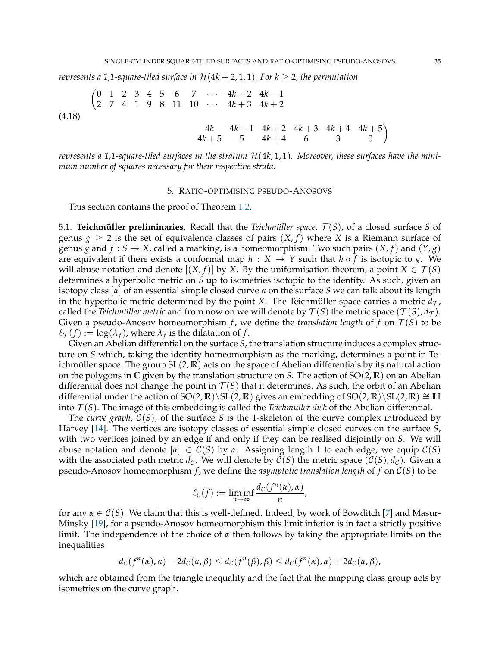*represents a 1,1-square-tiled surface in*  $H(4k + 2, 1, 1)$ *. For k*  $\geq 2$ *, the permutation* 

(4.18)  $(0 \t1 \t2 \t3 \t4 \t5 \t6 \t7 \t\cdots \t4k-2 \t4k-1)$  $\begin{array}{ccccccccc} \n\begin{array}{ccccccc} 2 & 7 & 4 & 1 & 9 & 8 & 11 & 10 & \cdots & 4k+3 & 4k+2 \n\end{array} \n\end{array}$ 

$$
\begin{array}{cccccc}\n4k & 4k+1 & 4k+2 & 4k+3 & 4k+4 & 4k+5 \\
4k+5 & 5 & 4k+4 & 6 & 3 & 0\n\end{array}
$$

*represents a 1,1-square-tiled surfaces in the stratum* H(4*k*, 1, 1)*. Moreover, these surfaces have the minimum number of squares necessary for their respective strata.*

## 5. RATIO-OPTIMISING PSEUDO-ANOSOVS

<span id="page-34-0"></span>This section contains the proof of Theorem [1.2.](#page-2-0)

5.1. **Teichmüller preliminaries.** Recall that the *Teichmüller space*,  $\mathcal{T}(S)$ , of a closed surface *S* of genus  $g \ge 2$  is the set of equivalence classes of pairs  $(X, f)$  where X is a Riemann surface of genus *g* and  $f : S \to X$ , called a marking, is a homeomorphism. Two such pairs  $(X, f)$  and  $(Y, g)$ are equivalent if there exists a conformal map  $h : X \rightarrow Y$  such that  $h \circ f$  is isotopic to *g*. We will abuse notation and denote  $[(X, f)]$  by *X*. By the uniformisation theorem, a point  $X \in \mathcal{T}(S)$ determines a hyperbolic metric on *S* up to isometries isotopic to the identity. As such, given an isotopy class [*α*] of an essential simple closed curve *α* on the surface *S* we can talk about its length in the hyperbolic metric determined by the point *X*. The Teichmüller space carries a metric  $d_{\tau}$ , called the *Teichmüller metric* and from now on we will denote by  $\mathcal{T}(S)$  the metric space  $(\mathcal{T}(S), d_{\mathcal{T}})$ . Given a pseudo-Anosov homeomorphism  $f$ , we define the *translation length* of  $f$  on  $\mathcal{T}(S)$  to be  $\ell_{\mathcal{T}}(f) := \log(\lambda_f)$ , where  $\lambda_f$  is the dilatation of  $f$ .

Given an Abelian differential on the surface *S*, the translation structure induces a complex structure on *S* which, taking the identity homeomorphism as the marking, determines a point in Teichmüller space. The group  $SL(2,\mathbb{R})$  acts on the space of Abelian differentials by its natural action on the polygons in **C** given by the translation structure on *S*. The action of SO(2, **R**) on an Abelian differential does not change the point in  $T(S)$  that it determines. As such, the orbit of an Abelian differential under the action of SO(2, **R**)\SL(2, **R**) gives an embedding of SO(2, **R**)\SL(2, **R**)  $\cong$  **H** into  $\mathcal{T}(S)$ . The image of this embedding is called the *Teichmüller disk* of the Abelian differential.

The *curve graph*,  $C(S)$ , of the surface *S* is the 1-skeleton of the curve complex introduced by Harvey [\[14\]](#page-38-15). The vertices are isotopy classes of essential simple closed curves on the surface *S*, with two vertices joined by an edge if and only if they can be realised disjointly on *S*. We will abuse notation and denote  $[\alpha] \in C(S)$  by  $\alpha$ . Assigning length 1 to each edge, we equip  $C(S)$ with the associated path metric  $d_{\mathcal{C}}$ . We will denote by  $\mathcal{C}(S)$  the metric space  $(\mathcal{C}(S), d_{\mathcal{C}})$ . Given a pseudo-Anosov homeomorphism  $f$ , we define the *asymptotic translation length* of  $f$  on  $C(S)$  to be

$$
\ell_{\mathcal{C}}(f) := \liminf_{n \to \infty} \frac{d_{\mathcal{C}}(f^n(\alpha), \alpha)}{n},
$$

for any  $\alpha \in \mathcal{C}(S)$ . We claim that this is well-defined. Indeed, by work of Bowditch [\[7\]](#page-37-11) and Masur-Minsky [\[19\]](#page-38-6), for a pseudo-Anosov homeomorphism this limit inferior is in fact a strictly positive limit. The independence of the choice of *α* then follows by taking the appropriate limits on the inequalities

$$
d_{\mathcal{C}}(f^{n}(\alpha), \alpha) - 2d_{\mathcal{C}}(\alpha, \beta) \leq d_{\mathcal{C}}(f^{n}(\beta), \beta) \leq d_{\mathcal{C}}(f^{n}(\alpha), \alpha) + 2d_{\mathcal{C}}(\alpha, \beta),
$$

which are obtained from the triangle inequality and the fact that the mapping class group acts by isometries on the curve graph.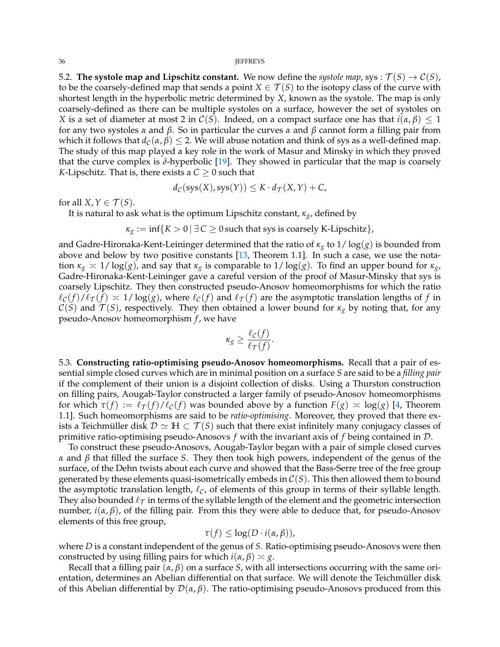5.2. **The systole map and Lipschitz constant.** We now define the *systole map*, sys :  $\mathcal{T}(S) \to \mathcal{C}(S)$ , to be the coarsely-defined map that sends a point  $X \in \mathcal{T}(S)$  to the isotopy class of the curve with shortest length in the hyperbolic metric determined by *X*, known as the systole. The map is only coarsely-defined as there can be multiple systoles on a surface, however the set of systoles on *X* is a set of diameter at most 2 in  $C(S)$ . Indeed, on a compact surface one has that  $i(\alpha, \beta) \leq 1$ for any two systoles *α* and *β*. So in particular the curves *α* and *β* cannot form a filling pair from which it follows that  $d_{\mathcal{C}}(\alpha, \beta) \leq 2$ . We will abuse notation and think of sys as a well-defined map. The study of this map played a key role in the work of Masur and Minsky in which they proved that the curve complex is  $\delta$ -hyperbolic [\[19\]](#page-38-6). They showed in particular that the map is coarsely *K*-Lipschitz. That is, there exists a  $C \geq 0$  such that

$$
d_{\mathcal{C}}(\mathsf{sys}(X), \mathsf{sys}(Y)) \leq K \cdot d_{\mathcal{T}}(X, Y) + C,
$$

for all  $X, Y \in \mathcal{T}(S)$ .

It is natural to ask what is the optimum Lipschitz constant, *κg*, defined by

 $\kappa_g := \inf\{K > 0 \mid \exists C \geq 0 \text{ such that sys is coarsely K-Lipschitz}\},\$ 

and Gadre-Hironaka-Kent-Leininger determined that the ratio of *κ<sup>g</sup>* to 1/ log(*g*) is bounded from above and below by two positive constants [\[13,](#page-38-7) Theorem 1.1]. In such a case, we use the notation  $\kappa_g \approx 1/\log(g)$ , and say that  $\kappa_g$  is comparable to  $1/\log(g)$ . To find an upper bound for  $\kappa_g$ , Gadre-Hironaka-Kent-Leininger gave a careful version of the proof of Masur-Minsky that sys is coarsely Lipschitz. They then constructed pseudo-Anosov homeomorphisms for which the ratio  $\ell_c(f)/\ell_{\mathcal{T}}(f) \approx 1/\log(g)$ , where  $\ell_c(f)$  and  $\ell_{\mathcal{T}}(f)$  are the asymptotic translation lengths of f in  $C(S)$  and  $\mathcal{T}(S)$ , respectively. They then obtained a lower bound for  $\kappa_g$  by noting that, for any pseudo-Anosov homeomorphism *f* , we have

$$
\kappa_g \geq \frac{\ell_{\mathcal{C}}(f)}{\ell_{\mathcal{T}}(f)}.
$$

5.3. **Constructing ratio-optimising pseudo-Anosov homeomorphisms.** Recall that a pair of essential simple closed curves which are in minimal position on a surface *S* are said to be a *filling pair* if the complement of their union is a disjoint collection of disks. Using a Thurston construction on filling pairs, Aougab-Taylor constructed a larger family of pseudo-Anosov homeomorphisms for which  $\tau(f) := \ell_{\mathcal{T}}(f)/\ell_{\mathcal{C}}(f)$  was bounded above by a function  $F(g) \approx \log(g)$  [\[4,](#page-37-3) Theorem 1.1]. Such homeomorphisms are said to be *ratio-optimising*. Moreover, they proved that there exists a Teichmüller disk  $\mathcal{D} \simeq \mathbb{H} \subset \mathcal{T}(S)$  such that there exist infinitely many conjugacy classes of primitive ratio-optimising pseudo-Anosovs *f* with the invariant axis of *f* being contained in D.

To construct these pseudo-Anosovs, Aougab-Taylor began with a pair of simple closed curves *α* and *β* that filled the surface *S*. They then took high powers, independent of the genus of the surface, of the Dehn twists about each curve and showed that the Bass-Serre tree of the free group generated by these elements quasi-isometrically embeds in  $C(S)$ . This then allowed them to bound the asymptotic translation length,  $\ell_C$ , of elements of this group in terms of their syllable length. They also bounded  $\ell_{\mathcal{T}}$  in terms of the syllable length of the element and the geometric intersection number,  $i(α, β)$ , of the filling pair. From this they were able to deduce that, for pseudo-Anosov elements of this free group,

$$
\tau(f) \leq \log(D \cdot i(\alpha, \beta)),
$$

where *D* is a constant independent of the genus of *S*. Ratio-optimising pseudo-Anosovs were then constructed by using filling pairs for which  $i(\alpha, \beta) \approx g$ .

Recall that a filling pair (*α*, *β*) on a surface *S*, with all intersections occurring with the same orientation, determines an Abelian differential on that surface. We will denote the Teichmüller disk of this Abelian differential by D(*α*, *β*). The ratio-optimising pseudo-Anosovs produced from this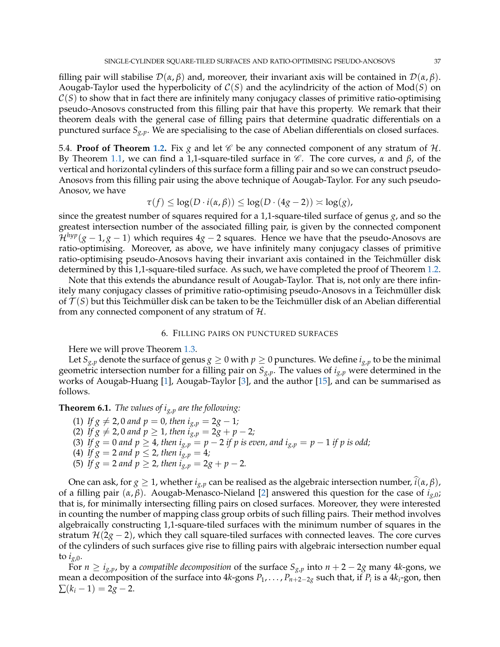filling pair will stabilise  $\mathcal{D}(\alpha, \beta)$  and, moreover, their invariant axis will be contained in  $\mathcal{D}(\alpha, \beta)$ . Aougab-Taylor used the hyperbolicity of C(*S*) and the acylindricity of the action of Mod(*S*) on  $C(S)$  to show that in fact there are infinitely many conjugacy classes of primitive ratio-optimising pseudo-Anosovs constructed from this filling pair that have this property. We remark that their theorem deals with the general case of filling pairs that determine quadratic differentials on a punctured surface *Sg*,*p*. We are specialising to the case of Abelian differentials on closed surfaces.

5.4. **Proof of Theorem [1.2.](#page-2-0)** Fix  $g$  and let  $\mathscr C$  be any connected component of any stratum of  $\mathcal H$ . By Theorem [1.1,](#page-1-0) we can find a 1,1-square-tiled surface in C . The core curves, *α* and *β*, of the vertical and horizontal cylinders of this surface form a filling pair and so we can construct pseudo-Anosovs from this filling pair using the above technique of Aougab-Taylor. For any such pseudo-Anosov, we have

$$
\tau(f) \leq \log(D \cdot i(\alpha, \beta)) \leq \log(D \cdot (4g - 2)) \approx \log(g),
$$

since the greatest number of squares required for a 1,1-square-tiled surface of genus *g*, and so the greatest intersection number of the associated filling pair, is given by the connected component  $\mathcal{H}^{hyp}(g-1,g-1)$  which requires  $4g-2$  squares. Hence we have that the pseudo-Anosovs are ratio-optimising. Moreover, as above, we have infinitely many conjugacy classes of primitive ratio-optimising pseudo-Anosovs having their invariant axis contained in the Teichmüller disk determined by this 1,1-square-tiled surface. As such, we have completed the proof of Theorem [1.2.](#page-2-0)

Note that this extends the abundance result of Aougab-Taylor. That is, not only are there infinitely many conjugacy classes of primitive ratio-optimising pseudo-Anosovs in a Teichmüller disk of  $\mathcal{T}(S)$  but this Teichmüller disk can be taken to be the Teichmüller disk of an Abelian differential from any connected component of any stratum of  $H$ .

## 6. FILLING PAIRS ON PUNCTURED SURFACES

<span id="page-36-0"></span>Here we will prove Theorem [1.3.](#page-3-0)

Let  $S_{g,p}$  denote the surface of genus  $g \ge 0$  with  $p \ge 0$  punctures. We define  $i_{g,p}$  to be the minimal geometric intersection number for a filling pair on *Sg*,*p*. The values of *ig*,*<sup>p</sup>* were determined in the works of Aougab-Huang [\[1\]](#page-37-4), Aougab-Taylor [\[3\]](#page-37-5), and the author [\[15\]](#page-38-8), and can be summarised as follows.

## **Theorem 6.1.** *The values of ig*,*<sup>p</sup> are the following:*

- (1) *If*  $g \neq 2$ , 0 *and*  $p = 0$ , *then*  $i_{g,p} = 2g 1$ ; (2) *If*  $g \neq 2$ , 0 *and*  $p \geq 1$ , *then*  $i_{g,p} = 2g + p - 2$ ; (3) If  $g = 0$  and  $p \ge 4$ , then  $i_{g,p} = p - 2$  if p is even, and  $i_{g,p} = p - 1$  if p is odd; (4) *If*  $g = 2$  *and*  $p \le 2$ *, then*  $i_{g,p} = 4$ *;*
- (5) *If*  $g = 2$  *and*  $p \ge 2$ *, then*  $i_{g,p} = 2g + p 2$ *.*

One can ask, for *g*  $\geq$  1, whether  $i_{g,p}$  can be realised as the algebraic intersection number,  $\hat{i}(\alpha, \beta)$ , of a filling pair (*α*, *β*). Aougab-Menasco-Nieland [\[2\]](#page-37-6) answered this question for the case of *ig*,0; that is, for minimally intersecting filling pairs on closed surfaces. Moreover, they were interested in counting the number of mapping class group orbits of such filling pairs. Their method involves algebraically constructing 1,1-square-tiled surfaces with the minimum number of squares in the stratum  $\mathcal{H}(2g - 2)$ , which they call square-tiled surfaces with connected leaves. The core curves of the cylinders of such surfaces give rise to filling pairs with algebraic intersection number equal to  $i_{g,0}$ .

For  $n \ge i_{g,p}$ , by a *compatible decomposition* of the surface  $S_{g,p}$  into  $n + 2 - 2g$  many 4*k*-gons, we mean a decomposition of the surface into 4*k*-gons *P*1, . . . , *Pn*+2−2*<sup>g</sup>* such that, if *P<sup>i</sup>* is a 4*k<sup>i</sup>* -gon, then  $\sum (k_i - 1) = 2g - 2.$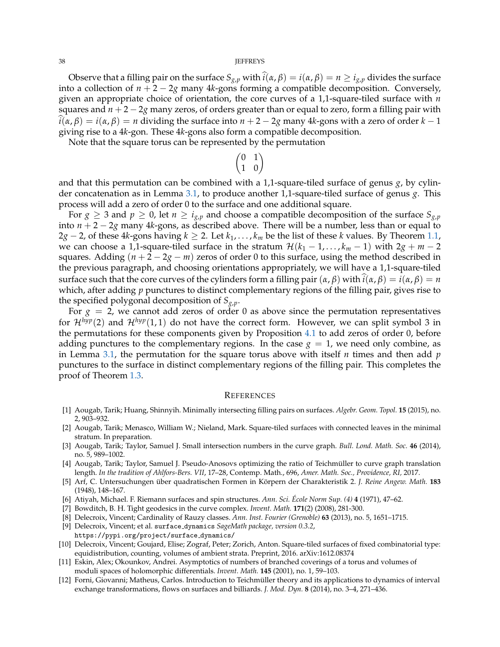#### 38 JEFFREYS

Observe that a filling pair on the surface  $S_{g,p}$  with  $\hat{i}(\alpha, \beta) = i(\alpha, \beta) = n \ge i_{g,p}$  divides the surface into a collection of  $n + 2 - 2g$  many 4*k*-gons forming a compatible decomposition. Conversely, given an appropriate choice of orientation, the core curves of a 1,1-square-tiled surface with *n* squares and  $n + 2 - 2g$  many zeros, of orders greater than or equal to zero, form a filling pair with  $\hat{i}(\alpha, \beta) = i(\alpha, \beta) = n$  dividing the surface into  $n + 2 - 2g$  many 4*k*-gons with a zero of order  $k - 1$ giving rise to a 4*k*-gon. These 4*k*-gons also form a compatible decomposition.

Note that the square torus can be represented by the permutation

$$
\begin{pmatrix} 0 & 1 \\ 1 & 0 \end{pmatrix}
$$

and that this permutation can be combined with a 1,1-square-tiled surface of genus *g*, by cylinder concatenation as in Lemma [3.1,](#page-12-0) to produce another 1,1-square-tiled surface of genus *g*. This process will add a zero of order 0 to the surface and one additional square.

For  $g \geq 3$  and  $p \geq 0$ , let  $n \geq i_{g,p}$  and choose a compatible decomposition of the surface  $S_{g,p}$ into *n* + 2 − 2*g* many 4*k*-gons, as described above. There will be a number, less than or equal to 2*g* − 2, of these 4*k*-gons having *k* ≥ 2. Let  $k_1$ , . . . ,  $k_m$  be the list of these *k* values. By Theorem [1.1,](#page-1-0) we can choose a 1,1-square-tiled surface in the stratum  $\mathcal{H}(k_1 - 1, \ldots, k_m - 1)$  with  $2g + m - 2$ squares. Adding  $(n + 2 - 2g - m)$  zeros of order 0 to this surface, using the method described in the previous paragraph, and choosing orientations appropriately, we will have a 1,1-square-tiled surface such that the core curves of the cylinders form a filling pair  $(\alpha, \beta)$  with  $\hat{i}(\alpha, \beta) = i(\alpha, \beta) = n$ which, after adding *p* punctures to distinct complementary regions of the filling pair, gives rise to the specified polygonal decomposition of  $S_{g,p}$ .

For  $g = 2$ , we cannot add zeros of order 0 as above since the permutation representatives for  $\mathcal{H}^{hyp}(2)$  and  $\mathcal{H}^{hyp}(1,1)$  do not have the correct form. However, we can split symbol 3 in the permutations for these components given by Proposition [4.1](#page-14-3) to add zeros of order 0, before adding punctures to the complementary regions. In the case  $g = 1$ , we need only combine, as in Lemma [3.1,](#page-12-0) the permutation for the square torus above with itself *n* times and then add *p* punctures to the surface in distinct complementary regions of the filling pair. This completes the proof of Theorem [1.3.](#page-3-0)

### **REFERENCES**

- <span id="page-37-4"></span>[1] Aougab, Tarik; Huang, Shinnyih. Minimally intersecting filling pairs on surfaces. *Algebr. Geom. Topol.* **15** (2015), no. 2, 903–932.
- <span id="page-37-6"></span>[2] Aougab, Tarik; Menasco, William W.; Nieland, Mark. Square-tiled surfaces with connected leaves in the minimal stratum. In preparation.
- <span id="page-37-5"></span>[3] Aougab, Tarik; Taylor, Samuel J. Small intersection numbers in the curve graph. *Bull. Lond. Math. Soc.* **46** (2014), no. 5, 989–1002.
- <span id="page-37-3"></span>[4] Aougab, Tarik; Taylor, Samuel J. Pseudo-Anosovs optimizing the ratio of Teichmüller to curve graph translation length. *In the tradition of Ahlfors-Bers. VII*, 17–28, Contemp. Math., 696, *Amer. Math. Soc., Providence, RI,* 2017.
- <span id="page-37-9"></span>[5] Arf, C. Untersuchungen über quadratischen Formen in Körpern der Charakteristik 2. *J. Reine Angew. Math.* 183 (1948), 148–167.
- <span id="page-37-8"></span>[6] Atiyah, Michael. F. Riemann surfaces and spin structures. *Ann. Sci. Ecole Norm Sup. (4) ´* **4** (1971), 47–62.
- <span id="page-37-11"></span>[7] Bowditch, B. H. Tight geodesics in the curve complex. *Invent. Math.* **171**(2) (2008), 281-300.
- <span id="page-37-10"></span>[8] Delecroix, Vincent; Cardinality of Rauzy classes. *Ann. Inst. Fourier (Grenoble)* **63** (2013), no. 5, 1651–1715.
- <span id="page-37-2"></span>[9] Delecroix, Vincent; et al. surface dynamics *SageMath package, version 0.3.2*, https://pypi.org/project/surface dynamics/
- <span id="page-37-1"></span>[10] Delecroix, Vincent; Goujard, Elise; Zograf, Peter; Zorich, Anton. Square-tiled surfaces of fixed combinatorial type: equidistribution, counting, volumes of ambient strata. Preprint, 2016. arXiv:1612.08374
- <span id="page-37-0"></span>[11] Eskin, Alex; Okounkov, Andrei. Asymptotics of numbers of branched coverings of a torus and volumes of moduli spaces of holomorphic differentials. *Invent. Math.* **145** (2001), no. 1, 59–103.
- <span id="page-37-7"></span>[12] Forni, Giovanni; Matheus, Carlos. Introduction to Teichmüller theory and its applications to dynamics of interval exchange transformations, flows on surfaces and billiards. *J. Mod. Dyn.* **8** (2014), no. 3–4, 271–436.